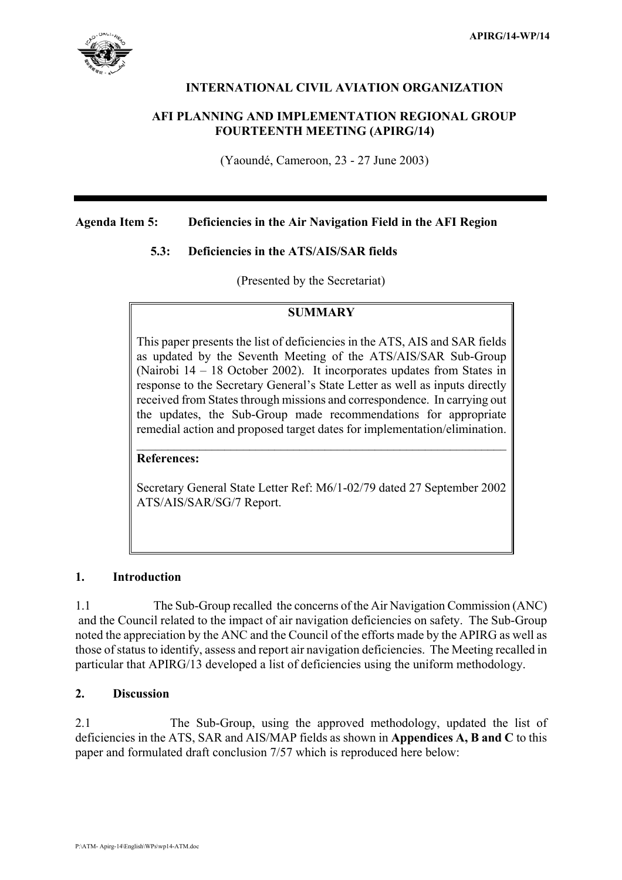

## **INTERNATIONAL CIVIL AVIATION ORGANIZATION**

## **AFI PLANNING AND IMPLEMENTATION REGIONAL GROUP FOURTEENTH MEETING (APIRG/14)**

(Yaoundé, Cameroon, 23 - 27 June 2003)

## **Agenda Item 5: Deficiencies in the Air Navigation Field in the AFI Region**

## **5.3: Deficiencies in the ATS/AIS/SAR fields**

(Presented by the Secretariat)

## **SUMMARY**

This paper presents the list of deficiencies in the ATS, AIS and SAR fields as updated by the Seventh Meeting of the ATS/AIS/SAR Sub-Group (Nairobi 14 – 18 October 2002). It incorporates updates from States in response to the Secretary General's State Letter as well as inputs directly received from States through missions and correspondence. In carrying out the updates, the Sub-Group made recommendations for appropriate remedial action and proposed target dates for implementation/elimination.

**References:**

Secretary General State Letter Ref: M6/1-02/79 dated 27 September 2002 ATS/AIS/SAR/SG/7 Report.

 $\mathcal{L}_\text{max}$  , and the contract of the contract of the contract of the contract of the contract of the contract of

## **1. Introduction**

1.1 The Sub-Group recalled the concerns of the Air Navigation Commission (ANC) and the Council related to the impact of air navigation deficiencies on safety. The Sub-Group noted the appreciation by the ANC and the Council of the efforts made by the APIRG as well as those of status to identify, assess and report air navigation deficiencies. The Meeting recalled in particular that APIRG/13 developed a list of deficiencies using the uniform methodology.

## **2. Discussion**

2.1 The Sub-Group, using the approved methodology, updated the list of deficiencies in the ATS, SAR and AIS/MAP fields as shown in **Appendices A, B and C** to this paper and formulated draft conclusion 7/57 which is reproduced here below: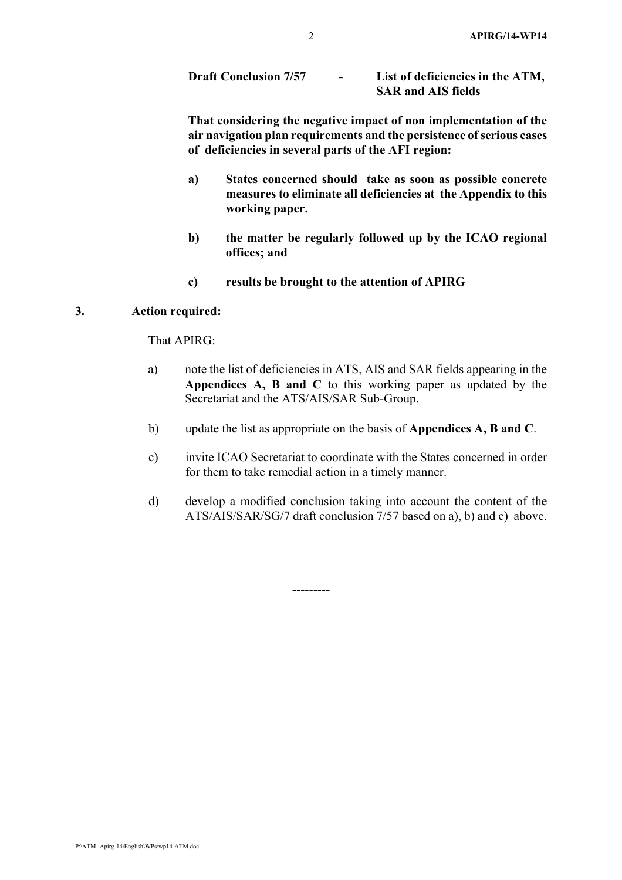| <b>Draft Conclusion 7/57</b> | List of deficiencies in the ATM, |
|------------------------------|----------------------------------|
|                              | <b>SAR and AIS fields</b>        |

**That considering the negative impact of non implementation of the air navigation plan requirements and the persistence of serious cases of deficiencies in several parts of the AFI region:** 

- **a) States concerned should take as soon as possible concrete measures to eliminate all deficiencies at the Appendix to this working paper.**
- **b) the matter be regularly followed up by the ICAO regional offices; and**
- **c) results be brought to the attention of APIRG**

## **3. Action required:**

That APIRG:

- a) note the list of deficiencies in ATS, AIS and SAR fields appearing in the **Appendices A, B and C** to this working paper as updated by the Secretariat and the ATS/AIS/SAR Sub-Group.
- b) update the list as appropriate on the basis of **Appendices A, B and C**.
- c) invite ICAO Secretariat to coordinate with the States concerned in order for them to take remedial action in a timely manner.
- d) develop a modified conclusion taking into account the content of the ATS/AIS/SAR/SG/7 draft conclusion 7/57 based on a), b) and c) above.

---------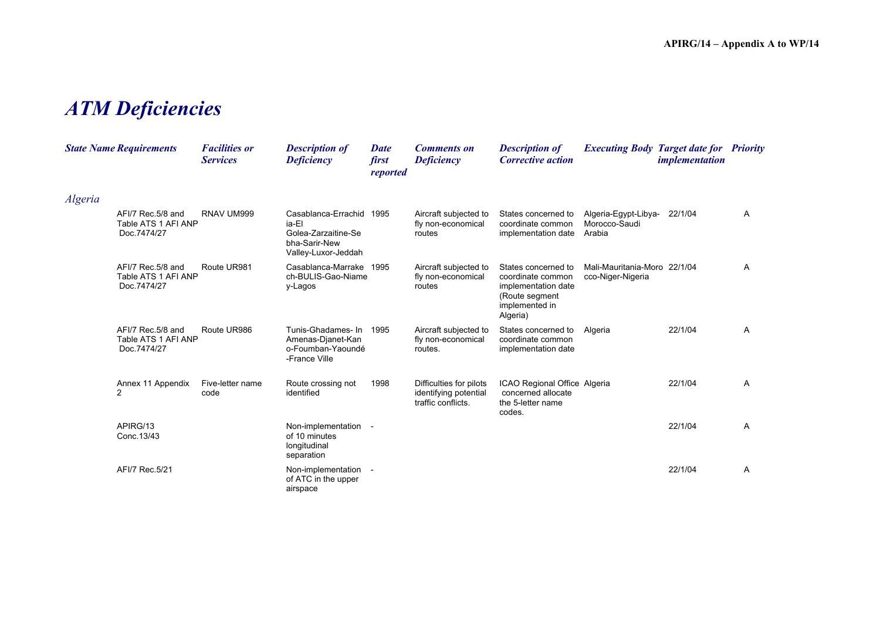# *ATM Deficiencies*

|         | <b>State Name Requirements</b>                           | <b>Facilities or</b><br><b>Services</b> | <b>Description of</b><br><b>Deficiency</b>                                                  | Date<br>first<br>reported | <b>Comments on</b><br><b>Deficiency</b>                                | <b>Description of</b><br><b>Corrective action</b>                                                               | <b>Executing Body Target date for Priority</b>    | <i>implementation</i> |   |
|---------|----------------------------------------------------------|-----------------------------------------|---------------------------------------------------------------------------------------------|---------------------------|------------------------------------------------------------------------|-----------------------------------------------------------------------------------------------------------------|---------------------------------------------------|-----------------------|---|
| Algeria |                                                          |                                         |                                                                                             |                           |                                                                        |                                                                                                                 |                                                   |                       |   |
|         | AFI/7 Rec.5/8 and<br>Table ATS 1 AFI ANP<br>Doc.7474/27  | RNAV UM999                              | Casablanca-Errachid<br>ia-El<br>Golea-Zarzaitine-Se<br>bha-Sarir-New<br>Valley-Luxor-Jeddah | 1995                      | Aircraft subjected to<br>fly non-economical<br>routes                  | States concerned to<br>coordinate common<br>implementation date                                                 | Algeria-Egypt-Libya-<br>Morocco-Saudi<br>Arabia   | 22/1/04               | A |
|         | AFI/7 Rec. 5/8 and<br>Table ATS 1 AFI ANP<br>Doc.7474/27 | Route UR981                             | Casablanca-Marrake<br>ch-BULIS-Gao-Niame<br>y-Lagos                                         | 1995                      | Aircraft subjected to<br>fly non-economical<br>routes                  | States concerned to<br>coordinate common<br>implementation date<br>(Route segment<br>implemented in<br>Algeria) | Mali-Mauritania-Moro 22/1/04<br>cco-Niger-Nigeria |                       | A |
|         | AFI/7 Rec.5/8 and<br>Table ATS 1 AFI ANP<br>Doc.7474/27  | Route UR986                             | Tunis-Ghadames- In<br>Amenas-Djanet-Kan<br>o-Foumban-Yaoundé<br>-France Ville               | 1995                      | Aircraft subjected to<br>fly non-economical<br>routes.                 | States concerned to<br>coordinate common<br>implementation date                                                 | Algeria                                           | 22/1/04               | Α |
|         | Annex 11 Appendix<br>2                                   | Five-letter name<br>code                | Route crossing not<br>identified                                                            | 1998                      | Difficulties for pilots<br>identifying potential<br>traffic conflicts. | ICAO Regional Office Algeria<br>concerned allocate<br>the 5-letter name<br>codes.                               |                                                   | 22/1/04               | A |
|         | APIRG/13<br>Conc. 13/43                                  |                                         | Non-implementation -<br>of 10 minutes<br>longitudinal<br>separation                         |                           |                                                                        |                                                                                                                 |                                                   | 22/1/04               | Α |
|         | AFI/7 Rec.5/21                                           |                                         | Non-implementation -<br>of ATC in the upper<br>airspace                                     |                           |                                                                        |                                                                                                                 |                                                   | 22/1/04               | A |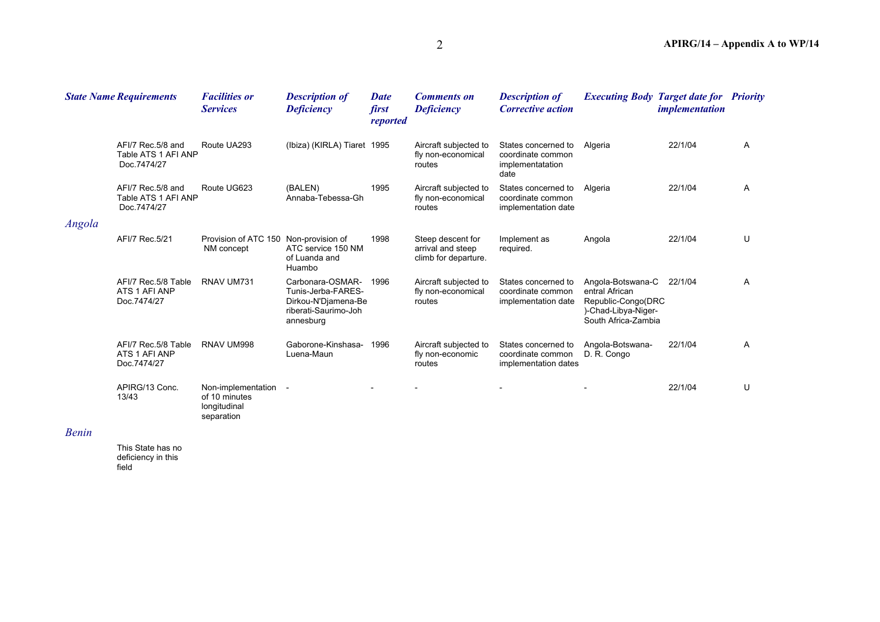|                | <b>State Name Requirements</b>                          | <b>Facilities or</b><br><b>Services</b>                             | <b>Description of</b><br><b>Deficiency</b>                                                         | <b>Date</b><br>first<br>reported | <b>Comments on</b><br><b>Deficiency</b>                        | <b>Description of</b><br><b>Corrective action</b>                    | <b>Executing Body Target date for Priority</b>                                                          | <i>implementation</i> |   |
|----------------|---------------------------------------------------------|---------------------------------------------------------------------|----------------------------------------------------------------------------------------------------|----------------------------------|----------------------------------------------------------------|----------------------------------------------------------------------|---------------------------------------------------------------------------------------------------------|-----------------------|---|
|                | AFI/7 Rec.5/8 and<br>Table ATS 1 AFI ANP<br>Doc.7474/27 | Route UA293                                                         | (Ibiza) (KIRLA) Tiaret 1995                                                                        |                                  | Aircraft subjected to<br>fly non-economical<br>routes          | States concerned to<br>coordinate common<br>implementatation<br>date | Algeria                                                                                                 | 22/1/04               | A |
|                | AFI/7 Rec.5/8 and<br>Table ATS 1 AFI ANP<br>Doc.7474/27 | Route UG623                                                         | (BALEN)<br>Annaba-Tebessa-Gh                                                                       | 1995                             | Aircraft subjected to<br>fly non-economical<br>routes          | States concerned to<br>coordinate common<br>implementation date      | Algeria                                                                                                 | 22/1/04               | A |
| Angola         |                                                         |                                                                     |                                                                                                    |                                  |                                                                |                                                                      |                                                                                                         |                       |   |
|                | AFI/7 Rec.5/21                                          | Provision of ATC 150 Non-provision of<br>NM concept                 | ATC service 150 NM<br>of Luanda and<br>Huambo                                                      | 1998                             | Steep descent for<br>arrival and steep<br>climb for departure. | Implement as<br>required.                                            | Angola                                                                                                  | 22/1/04               | U |
|                | AFI/7 Rec.5/8 Table<br>ATS 1 AFI ANP<br>Doc.7474/27     | RNAV UM731                                                          | Carbonara-OSMAR-<br>Tunis-Jerba-FARES-<br>Dirkou-N'Djamena-Be<br>riberati-Saurimo-Joh<br>annesburg | 1996                             | Aircraft subjected to<br>fly non-economical<br>routes          | States concerned to<br>coordinate common<br>implementation date      | Angola-Botswana-C<br>entral African<br>Republic-Congo(DRC<br>)-Chad-Libya-Niger-<br>South Africa-Zambia | 22/1/04               | A |
|                | AFI/7 Rec.5/8 Table<br>ATS 1 AFI ANP<br>Doc.7474/27     | RNAV UM998                                                          | Gaborone-Kinshasa-<br>Luena-Maun                                                                   | 1996                             | Aircraft subjected to<br>fly non-economic<br>routes            | States concerned to<br>coordinate common<br>implementation dates     | Angola-Botswana-<br>D. R. Congo                                                                         | 22/1/04               | A |
|                | APIRG/13 Conc.<br>13/43                                 | Non-implementation -<br>of 10 minutes<br>longitudinal<br>separation |                                                                                                    |                                  |                                                                |                                                                      |                                                                                                         | 22/1/04               | U |
| $\mathbf{r}$ . |                                                         |                                                                     |                                                                                                    |                                  |                                                                |                                                                      |                                                                                                         |                       |   |

#### *Benin*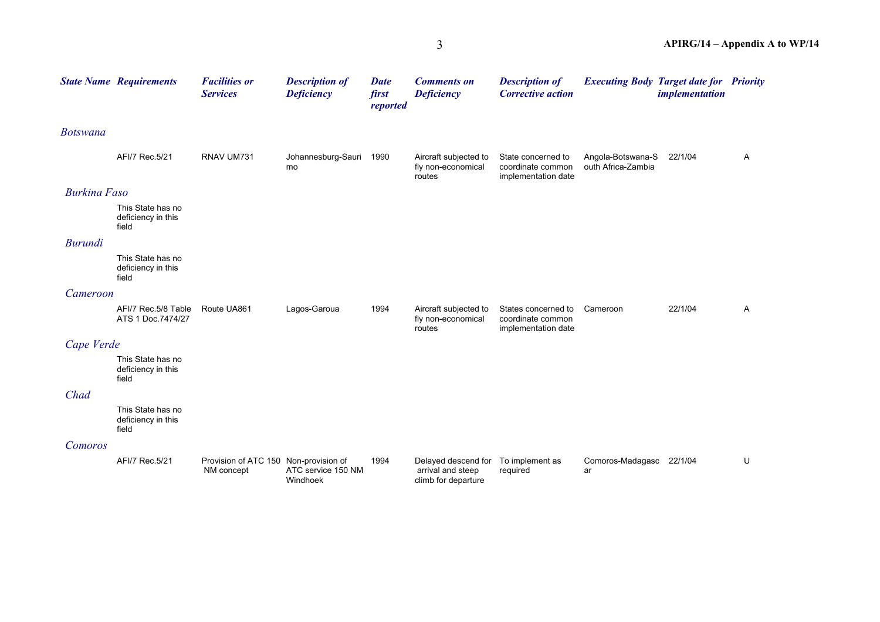|                     | <b>State Name Requirements</b>                   | <b>Facilities or</b><br><b>Services</b>             | <b>Description of</b><br><b>Deficiency</b> | <b>Date</b><br>first<br>reported | <b>Comments on</b><br><b>Deficiency</b>                         | <b>Description of</b><br><b>Corrective action</b>               | <b>Executing Body Target date for Priority</b> | <i>implementation</i> |   |
|---------------------|--------------------------------------------------|-----------------------------------------------------|--------------------------------------------|----------------------------------|-----------------------------------------------------------------|-----------------------------------------------------------------|------------------------------------------------|-----------------------|---|
| <b>Botswana</b>     |                                                  |                                                     |                                            |                                  |                                                                 |                                                                 |                                                |                       |   |
|                     | AFI/7 Rec.5/21                                   | RNAV UM731                                          | Johannesburg-Sauri 1990<br>mo              |                                  | Aircraft subjected to<br>fly non-economical<br>routes           | State concerned to<br>coordinate common<br>implementation date  | Angola-Botswana-S<br>outh Africa-Zambia        | 22/1/04               | Α |
| <b>Burkina Faso</b> |                                                  |                                                     |                                            |                                  |                                                                 |                                                                 |                                                |                       |   |
|                     | This State has no<br>deficiency in this<br>field |                                                     |                                            |                                  |                                                                 |                                                                 |                                                |                       |   |
| <b>Burundi</b>      |                                                  |                                                     |                                            |                                  |                                                                 |                                                                 |                                                |                       |   |
|                     | This State has no<br>deficiency in this<br>field |                                                     |                                            |                                  |                                                                 |                                                                 |                                                |                       |   |
| Cameroon            |                                                  |                                                     |                                            |                                  |                                                                 |                                                                 |                                                |                       |   |
|                     | AFI/7 Rec.5/8 Table<br>ATS 1 Doc.7474/27         | Route UA861                                         | Lagos-Garoua                               | 1994                             | Aircraft subjected to<br>fly non-economical<br>routes           | States concerned to<br>coordinate common<br>implementation date | Cameroon                                       | 22/1/04               | Α |
| Cape Verde          |                                                  |                                                     |                                            |                                  |                                                                 |                                                                 |                                                |                       |   |
|                     | This State has no<br>deficiency in this<br>field |                                                     |                                            |                                  |                                                                 |                                                                 |                                                |                       |   |
| Chad                |                                                  |                                                     |                                            |                                  |                                                                 |                                                                 |                                                |                       |   |
|                     | This State has no<br>deficiency in this<br>field |                                                     |                                            |                                  |                                                                 |                                                                 |                                                |                       |   |
| Comoros             |                                                  |                                                     |                                            |                                  |                                                                 |                                                                 |                                                |                       |   |
|                     | AFI/7 Rec.5/21                                   | Provision of ATC 150 Non-provision of<br>NM concept | ATC service 150 NM<br>Windhoek             | 1994                             | Delayed descend for<br>arrival and steep<br>climb for departure | To implement as<br>required                                     | Comoros-Madagasc 22/1/04<br>ar                 |                       | U |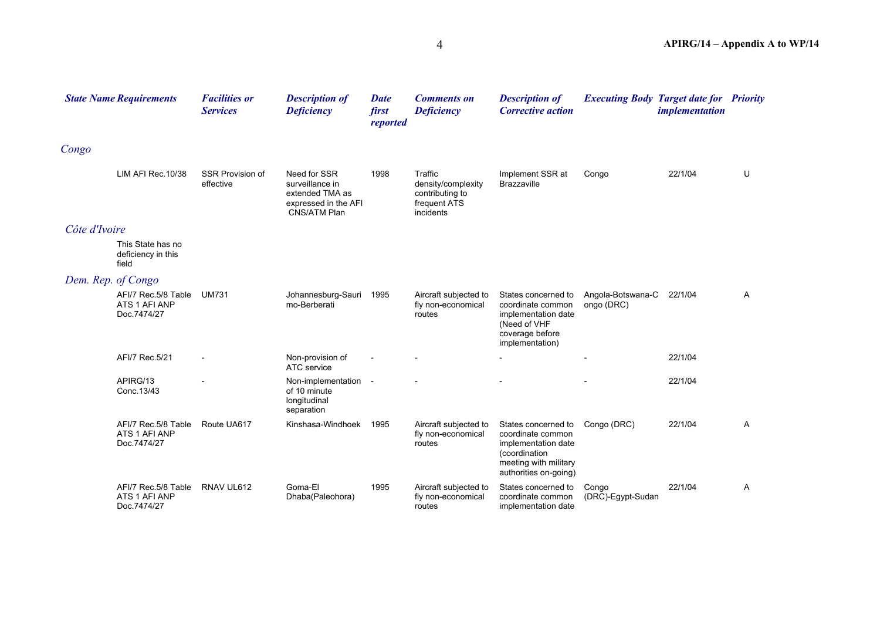|                    | <b>State Name Requirements</b>                      | <b>Facilities or</b><br><b>Services</b> | <b>Description of</b><br><b>Deficiency</b>                                                        | <b>Date</b><br>first<br>reported | <b>Comments on</b><br><b>Deficiency</b>                                       | <b>Description of</b><br><b>Corrective action</b>                                                                                  | <b>Executing Body Target date for Priority</b> | <i>implementation</i> |   |
|--------------------|-----------------------------------------------------|-----------------------------------------|---------------------------------------------------------------------------------------------------|----------------------------------|-------------------------------------------------------------------------------|------------------------------------------------------------------------------------------------------------------------------------|------------------------------------------------|-----------------------|---|
| Congo              |                                                     |                                         |                                                                                                   |                                  |                                                                               |                                                                                                                                    |                                                |                       |   |
|                    | LIM AFI Rec. 10/38                                  | <b>SSR Provision of</b><br>effective    | Need for SSR<br>surveillance in<br>extended TMA as<br>expressed in the AFI<br><b>CNS/ATM Plan</b> | 1998                             | Traffic<br>density/complexity<br>contributing to<br>frequent ATS<br>incidents | Implement SSR at<br><b>Brazzaville</b>                                                                                             | Congo                                          | 22/1/04               | U |
| Côte d'Ivoire      |                                                     |                                         |                                                                                                   |                                  |                                                                               |                                                                                                                                    |                                                |                       |   |
|                    | This State has no<br>deficiency in this<br>field    |                                         |                                                                                                   |                                  |                                                                               |                                                                                                                                    |                                                |                       |   |
| Dem. Rep. of Congo |                                                     |                                         |                                                                                                   |                                  |                                                                               |                                                                                                                                    |                                                |                       |   |
|                    | AFI/7 Rec.5/8 Table<br>ATS 1 AFI ANP<br>Doc.7474/27 | <b>UM731</b>                            | Johannesburg-Sauri<br>mo-Berberati                                                                | 1995                             | Aircraft subjected to<br>fly non-economical<br>routes                         | States concerned to<br>coordinate common<br>implementation date<br>(Need of VHF<br>coverage before<br>implementation)              | Angola-Botswana-C<br>ongo (DRC)                | 22/1/04               | Α |
|                    | AFI/7 Rec.5/21                                      |                                         | Non-provision of<br>ATC service                                                                   |                                  |                                                                               |                                                                                                                                    |                                                | 22/1/04               |   |
|                    | APIRG/13<br>Conc. 13/43                             |                                         | Non-implementation -<br>of 10 minute<br>longitudinal<br>separation                                |                                  |                                                                               |                                                                                                                                    |                                                | 22/1/04               |   |
|                    | AFI/7 Rec.5/8 Table<br>ATS 1 AFI ANP<br>Doc.7474/27 | Route UA617                             | Kinshasa-Windhoek                                                                                 | 1995                             | Aircraft subjected to<br>fly non-economical<br>routes                         | States concerned to<br>coordinate common<br>implementation date<br>(coordination<br>meeting with military<br>authorities on-going) | Congo (DRC)                                    | 22/1/04               | A |
|                    | AFI/7 Rec.5/8 Table<br>ATS 1 AFI ANP<br>Doc.7474/27 | RNAV UL612                              | Goma-El<br>Dhaba(Paleohora)                                                                       | 1995                             | Aircraft subjected to<br>fly non-economical<br>routes                         | States concerned to<br>coordinate common<br>implementation date                                                                    | Congo<br>(DRC)-Egypt-Sudan                     | 22/1/04               | Α |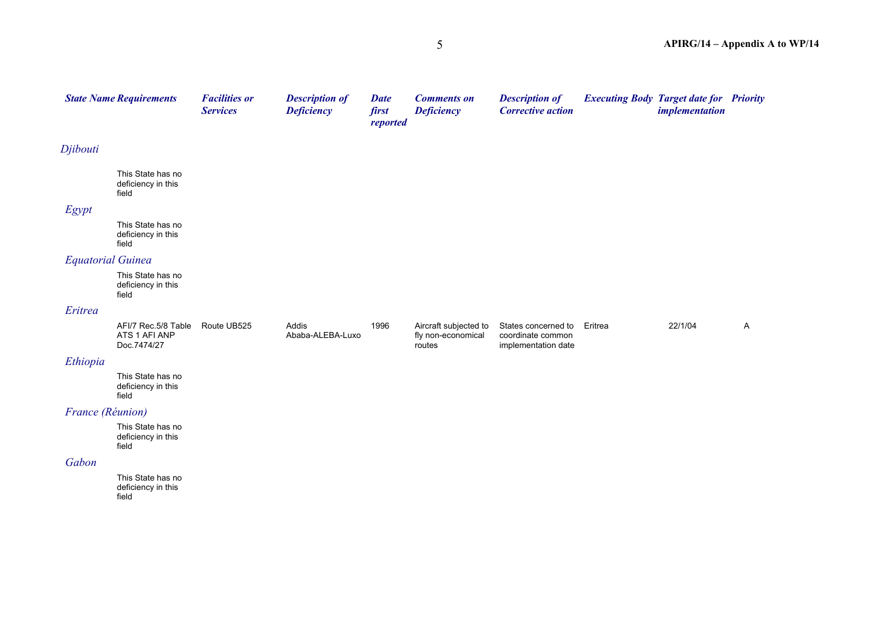|                  | <b>State Name Requirements</b>                      | <b>Facilities or</b><br><b>Services</b> | <b>Description of</b><br><b>Deficiency</b> | <b>Date</b><br>first<br>reported | <b>Comments on</b><br><b>Deficiency</b>               | <b>Description of</b><br><b>Corrective action</b>               |         | <b>Executing Body Target date for Priority</b><br><i>implementation</i> |   |
|------------------|-----------------------------------------------------|-----------------------------------------|--------------------------------------------|----------------------------------|-------------------------------------------------------|-----------------------------------------------------------------|---------|-------------------------------------------------------------------------|---|
| Djibouti         |                                                     |                                         |                                            |                                  |                                                       |                                                                 |         |                                                                         |   |
|                  | This State has no<br>deficiency in this<br>field    |                                         |                                            |                                  |                                                       |                                                                 |         |                                                                         |   |
| Egypt            |                                                     |                                         |                                            |                                  |                                                       |                                                                 |         |                                                                         |   |
|                  | This State has no<br>deficiency in this<br>field    |                                         |                                            |                                  |                                                       |                                                                 |         |                                                                         |   |
|                  | <b>Equatorial Guinea</b>                            |                                         |                                            |                                  |                                                       |                                                                 |         |                                                                         |   |
|                  | This State has no<br>deficiency in this<br>field    |                                         |                                            |                                  |                                                       |                                                                 |         |                                                                         |   |
| Eritrea          |                                                     |                                         |                                            |                                  |                                                       |                                                                 |         |                                                                         |   |
|                  | AFI/7 Rec.5/8 Table<br>ATS 1 AFI ANP<br>Doc.7474/27 | Route UB525                             | Addis<br>Ababa-ALEBA-Luxo                  | 1996                             | Aircraft subjected to<br>fly non-economical<br>routes | States concerned to<br>coordinate common<br>implementation date | Eritrea | 22/1/04                                                                 | A |
| Ethiopia         |                                                     |                                         |                                            |                                  |                                                       |                                                                 |         |                                                                         |   |
|                  | This State has no<br>deficiency in this<br>field    |                                         |                                            |                                  |                                                       |                                                                 |         |                                                                         |   |
| France (Réunion) |                                                     |                                         |                                            |                                  |                                                       |                                                                 |         |                                                                         |   |
|                  | This State has no<br>deficiency in this<br>field    |                                         |                                            |                                  |                                                       |                                                                 |         |                                                                         |   |
| Gabon            |                                                     |                                         |                                            |                                  |                                                       |                                                                 |         |                                                                         |   |
|                  | This State has no<br>deficiency in this<br>field    |                                         |                                            |                                  |                                                       |                                                                 |         |                                                                         |   |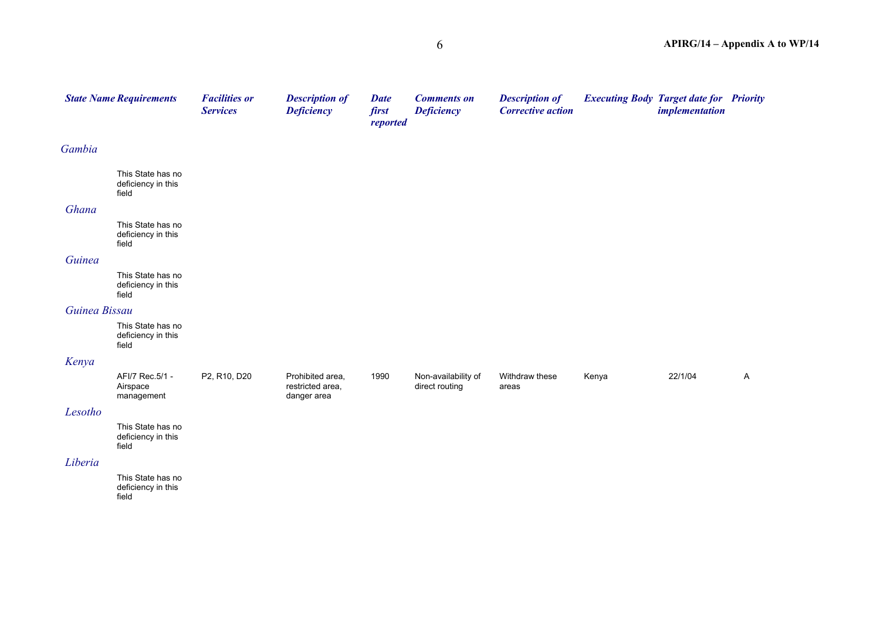|               | <b>State Name Requirements</b>                   | <b>Facilities or</b><br><b>Services</b> | <b>Description of</b><br><b>Deficiency</b>          | <b>Date</b><br>first<br>reported | <b>Comments on</b><br><b>Deficiency</b> | <b>Description of</b><br><b>Corrective action</b> |       | <b>Executing Body Target date for Priority</b><br><i>implementation</i> |              |
|---------------|--------------------------------------------------|-----------------------------------------|-----------------------------------------------------|----------------------------------|-----------------------------------------|---------------------------------------------------|-------|-------------------------------------------------------------------------|--------------|
| Gambia        |                                                  |                                         |                                                     |                                  |                                         |                                                   |       |                                                                         |              |
|               | This State has no<br>deficiency in this<br>field |                                         |                                                     |                                  |                                         |                                                   |       |                                                                         |              |
| Ghana         |                                                  |                                         |                                                     |                                  |                                         |                                                   |       |                                                                         |              |
|               | This State has no<br>deficiency in this<br>field |                                         |                                                     |                                  |                                         |                                                   |       |                                                                         |              |
| Guinea        |                                                  |                                         |                                                     |                                  |                                         |                                                   |       |                                                                         |              |
|               | This State has no<br>deficiency in this<br>field |                                         |                                                     |                                  |                                         |                                                   |       |                                                                         |              |
| Guinea Bissau |                                                  |                                         |                                                     |                                  |                                         |                                                   |       |                                                                         |              |
|               | This State has no<br>deficiency in this<br>field |                                         |                                                     |                                  |                                         |                                                   |       |                                                                         |              |
| Kenya         |                                                  |                                         |                                                     |                                  |                                         |                                                   |       |                                                                         |              |
|               | AFI/7 Rec.5/1 -<br>Airspace<br>management        | P2, R10, D20                            | Prohibited area,<br>restricted area,<br>danger area | 1990                             | Non-availability of<br>direct routing   | Withdraw these<br>areas                           | Kenya | 22/1/04                                                                 | $\mathsf{A}$ |
| Lesotho       |                                                  |                                         |                                                     |                                  |                                         |                                                   |       |                                                                         |              |
|               | This State has no<br>deficiency in this<br>field |                                         |                                                     |                                  |                                         |                                                   |       |                                                                         |              |
| Liberia       |                                                  |                                         |                                                     |                                  |                                         |                                                   |       |                                                                         |              |
|               | This State has no<br>deficiency in this<br>field |                                         |                                                     |                                  |                                         |                                                   |       |                                                                         |              |
|               |                                                  |                                         |                                                     |                                  |                                         |                                                   |       |                                                                         |              |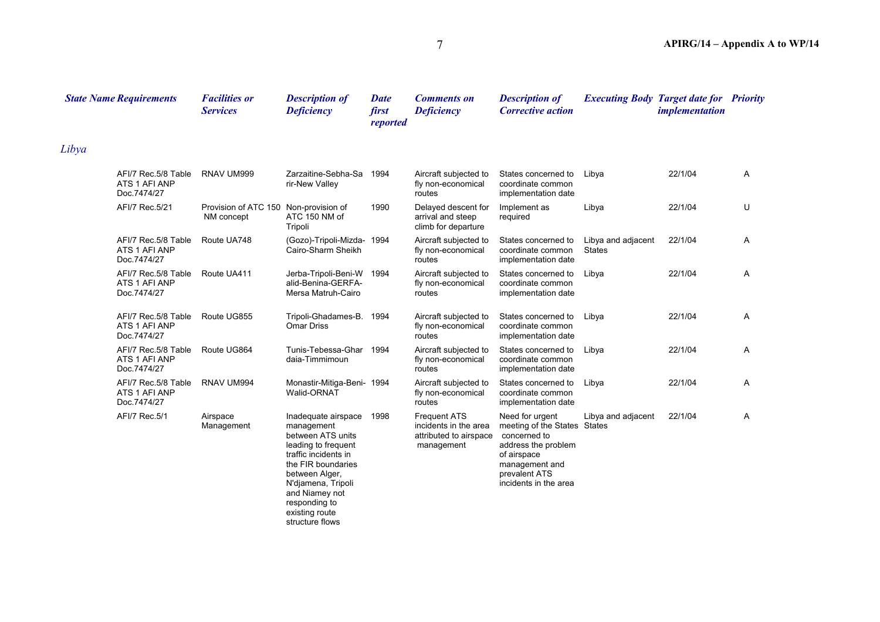|       | <b>State Name Requirements</b>                      | <b>Facilities or</b><br><b>Services</b>             | <b>Description of</b><br><b>Deficiency</b>                                                                                                                                                                                                  | <b>Date</b><br>first<br>reported | <b>Comments on</b><br><b>Deficiency</b>                                              | <b>Description of</b><br><b>Corrective action</b>                                                                                                                 |                                     | <b>Executing Body Target date for Priority</b><br><i>implementation</i> |   |
|-------|-----------------------------------------------------|-----------------------------------------------------|---------------------------------------------------------------------------------------------------------------------------------------------------------------------------------------------------------------------------------------------|----------------------------------|--------------------------------------------------------------------------------------|-------------------------------------------------------------------------------------------------------------------------------------------------------------------|-------------------------------------|-------------------------------------------------------------------------|---|
| Libya |                                                     |                                                     |                                                                                                                                                                                                                                             |                                  |                                                                                      |                                                                                                                                                                   |                                     |                                                                         |   |
|       | AFI/7 Rec.5/8 Table<br>ATS 1 AFI ANP<br>Doc.7474/27 | RNAV UM999                                          | Zarzaitine-Sebha-Sa<br>rir-New Valley                                                                                                                                                                                                       | 1994                             | Aircraft subjected to<br>fly non-economical<br>routes                                | States concerned to<br>coordinate common<br>implementation date                                                                                                   | Libya                               | 22/1/04                                                                 | A |
|       | AFI/7 Rec.5/21                                      | Provision of ATC 150 Non-provision of<br>NM concept | ATC 150 NM of<br>Tripoli                                                                                                                                                                                                                    | 1990                             | Delayed descent for<br>arrival and steep<br>climb for departure                      | Implement as<br>required                                                                                                                                          | Libya                               | 22/1/04                                                                 | U |
|       | AFI/7 Rec.5/8 Table<br>ATS 1 AFI ANP<br>Doc.7474/27 | Route UA748                                         | (Gozo)-Tripoli-Mizda- 1994<br>Cairo-Sharm Sheikh                                                                                                                                                                                            |                                  | Aircraft subjected to<br>fly non-economical<br>routes                                | States concerned to<br>coordinate common<br>implementation date                                                                                                   | Libya and adjacent<br><b>States</b> | 22/1/04                                                                 | Α |
|       | AFI/7 Rec.5/8 Table<br>ATS 1 AFI ANP<br>Doc.7474/27 | Route UA411                                         | Jerba-Tripoli-Beni-W<br>alid-Benina-GERFA-<br>Mersa Matruh-Cairo                                                                                                                                                                            | 1994                             | Aircraft subjected to<br>fly non-economical<br>routes                                | States concerned to<br>coordinate common<br>implementation date                                                                                                   | Libya                               | 22/1/04                                                                 | A |
|       | AFI/7 Rec.5/8 Table<br>ATS 1 AFI ANP<br>Doc.7474/27 | Route UG855                                         | Tripoli-Ghadames-B.<br><b>Omar Driss</b>                                                                                                                                                                                                    | 1994                             | Aircraft subjected to<br>fly non-economical<br>routes                                | States concerned to<br>coordinate common<br>implementation date                                                                                                   | Libya                               | 22/1/04                                                                 | Α |
|       | AFI/7 Rec.5/8 Table<br>ATS 1 AFI ANP<br>Doc.7474/27 | Route UG864                                         | Tunis-Tebessa-Ghar<br>daia-Timmimoun                                                                                                                                                                                                        | 1994                             | Aircraft subjected to<br>fly non-economical<br>routes                                | States concerned to<br>coordinate common<br>implementation date                                                                                                   | Libya                               | 22/1/04                                                                 | Α |
|       | AFI/7 Rec.5/8 Table<br>ATS 1 AFI ANP<br>Doc.7474/27 | RNAV UM994                                          | Monastir-Mitiga-Beni- 1994<br>Walid-ORNAT                                                                                                                                                                                                   |                                  | Aircraft subjected to<br>fly non-economical<br>routes                                | States concerned to<br>coordinate common<br>implementation date                                                                                                   | Libya                               | 22/1/04                                                                 | A |
|       | AFI/7 Rec.5/1                                       | Airspace<br>Management                              | Inadequate airspace<br>management<br>between ATS units<br>leading to frequent<br>traffic incidents in<br>the FIR boundaries<br>between Alger,<br>N'diamena, Tripoli<br>and Niamey not<br>responding to<br>existing route<br>structure flows | 1998                             | <b>Frequent ATS</b><br>incidents in the area<br>attributed to airspace<br>management | Need for urgent<br>meeting of the States States<br>concerned to<br>address the problem<br>of airspace<br>management and<br>prevalent ATS<br>incidents in the area | Libya and adjacent                  | 22/1/04                                                                 | Α |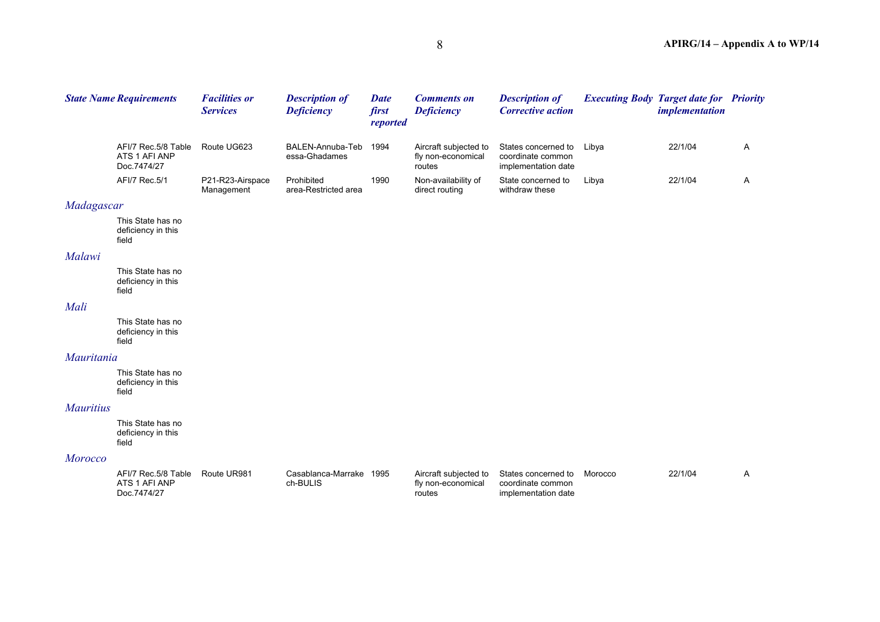|            | <b>State Name Requirements</b>                                          | <b>Facilities or</b><br><b>Services</b> | <b>Description of</b><br><b>Deficiency</b> | <b>Date</b><br>first<br>reported | <b>Comments on</b><br><b>Deficiency</b>               | <b>Description of</b><br><b>Corrective action</b>               |       | <b>Executing Body Target date for Priority</b><br><i>implementation</i> |   |
|------------|-------------------------------------------------------------------------|-----------------------------------------|--------------------------------------------|----------------------------------|-------------------------------------------------------|-----------------------------------------------------------------|-------|-------------------------------------------------------------------------|---|
|            | AFI/7 Rec.5/8 Table<br>ATS 1 AFI ANP<br>Doc.7474/27                     | Route UG623                             | BALEN-Annuba-Teb<br>essa-Ghadames          | 1994                             | Aircraft subjected to<br>fly non-economical<br>routes | States concerned to<br>coordinate common<br>implementation date | Libya | 22/1/04                                                                 | A |
|            | AFI/7 Rec.5/1                                                           | P21-R23-Airspace<br>Management          | Prohibited<br>area-Restricted area         | 1990                             | Non-availability of<br>direct routing                 | State concerned to<br>withdraw these                            | Libya | 22/1/04                                                                 | A |
| Madagascar |                                                                         |                                         |                                            |                                  |                                                       |                                                                 |       |                                                                         |   |
|            | This State has no<br>deficiency in this<br>field                        |                                         |                                            |                                  |                                                       |                                                                 |       |                                                                         |   |
| Malawi     |                                                                         |                                         |                                            |                                  |                                                       |                                                                 |       |                                                                         |   |
|            | This State has no<br>deficiency in this<br>field                        |                                         |                                            |                                  |                                                       |                                                                 |       |                                                                         |   |
| Mali       |                                                                         |                                         |                                            |                                  |                                                       |                                                                 |       |                                                                         |   |
|            | This State has no<br>deficiency in this<br>field                        |                                         |                                            |                                  |                                                       |                                                                 |       |                                                                         |   |
| Mauritania |                                                                         |                                         |                                            |                                  |                                                       |                                                                 |       |                                                                         |   |
|            | This State has no<br>deficiency in this<br>$\mathcal{L}^* = \mathbb{R}$ |                                         |                                            |                                  |                                                       |                                                                 |       |                                                                         |   |

#### *Mauritius*

This State has no deficiency in this field

field

#### *Morocco*

| AFI/7 Rec. 5/8 Table | Route UR981 | Casablanca-Marrake | 1995 | Aircraft subiected to | States concerned to | Morocco | 22/1/04 |  |
|----------------------|-------------|--------------------|------|-----------------------|---------------------|---------|---------|--|
| ATS 1 AFI ANP        |             | ch-BULIS           |      | fly non-economical    | coordinate common   |         |         |  |
| Doc.7474/27          |             |                    |      | routes                | implementation date |         |         |  |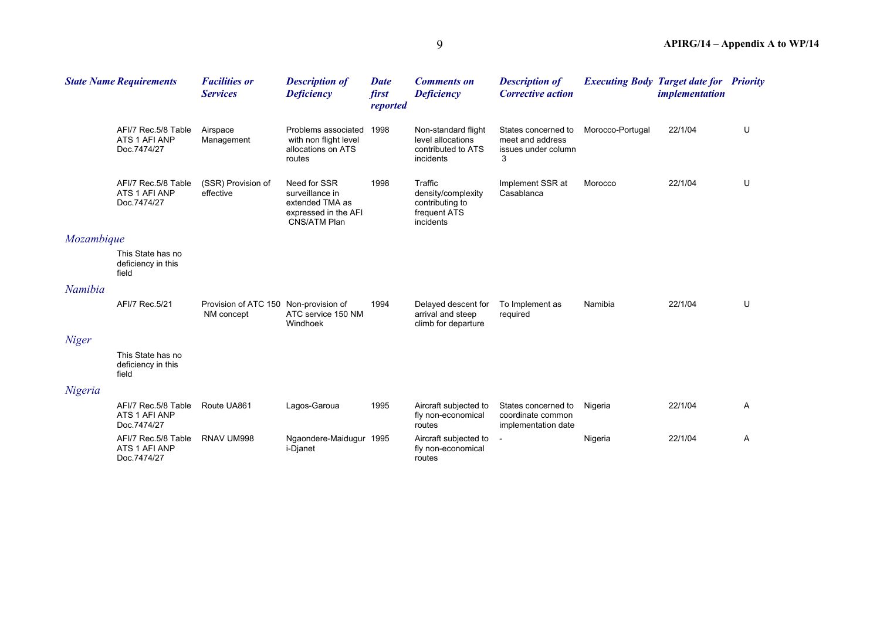|              | <b>State Name Requirements</b>                      | <b>Facilities or</b><br><b>Services</b>             | <b>Description of</b><br><b>Deficiency</b>                                                 | <b>Date</b><br>first<br>reported | <b>Comments on</b><br><b>Deficiency</b>                                       | <b>Description of</b><br><b>Corrective action</b>                   |                  | <b>Executing Body Target date for Priority</b><br><i>implementation</i> |   |
|--------------|-----------------------------------------------------|-----------------------------------------------------|--------------------------------------------------------------------------------------------|----------------------------------|-------------------------------------------------------------------------------|---------------------------------------------------------------------|------------------|-------------------------------------------------------------------------|---|
|              | AFI/7 Rec.5/8 Table<br>ATS 1 AFI ANP<br>Doc.7474/27 | Airspace<br>Management                              | Problems associated<br>with non flight level<br>allocations on ATS<br>routes               | 1998                             | Non-standard flight<br>level allocations<br>contributed to ATS<br>incidents   | States concerned to<br>meet and address<br>issues under column<br>3 | Morocco-Portugal | 22/1/04                                                                 | U |
|              | AFI/7 Rec.5/8 Table<br>ATS 1 AFI ANP<br>Doc.7474/27 | (SSR) Provision of<br>effective                     | Need for SSR<br>surveillance in<br>extended TMA as<br>expressed in the AFI<br>CNS/ATM Plan | 1998                             | Traffic<br>density/complexity<br>contributing to<br>frequent ATS<br>incidents | Implement SSR at<br>Casablanca                                      | Morocco          | 22/1/04                                                                 | U |
| Mozambique   |                                                     |                                                     |                                                                                            |                                  |                                                                               |                                                                     |                  |                                                                         |   |
|              | This State has no<br>deficiency in this<br>field    |                                                     |                                                                                            |                                  |                                                                               |                                                                     |                  |                                                                         |   |
| Namibia      |                                                     |                                                     |                                                                                            |                                  |                                                                               |                                                                     |                  |                                                                         |   |
|              | AFI/7 Rec.5/21                                      | Provision of ATC 150 Non-provision of<br>NM concept | ATC service 150 NM<br>Windhoek                                                             | 1994                             | Delayed descent for<br>arrival and steep<br>climb for departure               | To Implement as<br>required                                         | Namibia          | 22/1/04                                                                 | U |
| <b>Niger</b> |                                                     |                                                     |                                                                                            |                                  |                                                                               |                                                                     |                  |                                                                         |   |
|              | This State has no<br>deficiency in this<br>field    |                                                     |                                                                                            |                                  |                                                                               |                                                                     |                  |                                                                         |   |
| Nigeria      |                                                     |                                                     |                                                                                            |                                  |                                                                               |                                                                     |                  |                                                                         |   |
|              | AFI/7 Rec.5/8 Table<br>ATS 1 AFI ANP<br>Doc.7474/27 | Route UA861                                         | Lagos-Garoua                                                                               | 1995                             | Aircraft subjected to<br>fly non-economical<br>routes                         | States concerned to<br>coordinate common<br>implementation date     | Nigeria          | 22/1/04                                                                 | A |
|              | AFI/7 Rec.5/8 Table<br>ATS 1 AFI ANP<br>Doc.7474/27 | RNAV UM998                                          | Ngaondere-Maidugur 1995<br>i-Djanet                                                        |                                  | Aircraft subjected to<br>fly non-economical<br>routes                         |                                                                     | Nigeria          | 22/1/04                                                                 | A |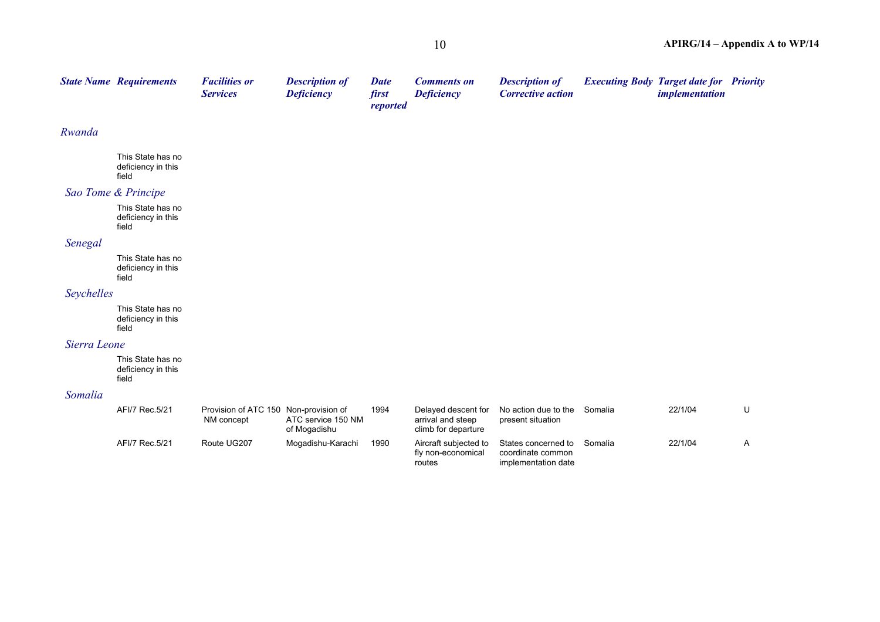|                                                  | <b>Facilities or</b><br><b>Services</b>                                             | <b>Description of</b><br><b>Deficiency</b> | <b>Date</b><br>first<br>reported      | <b>Comments on</b><br><b>Deficiency</b>                         | <b>Description of</b><br><b>Corrective action</b>               |         | <i>implementation</i> |                                                |
|--------------------------------------------------|-------------------------------------------------------------------------------------|--------------------------------------------|---------------------------------------|-----------------------------------------------------------------|-----------------------------------------------------------------|---------|-----------------------|------------------------------------------------|
|                                                  |                                                                                     |                                            |                                       |                                                                 |                                                                 |         |                       |                                                |
| This State has no<br>deficiency in this<br>field |                                                                                     |                                            |                                       |                                                                 |                                                                 |         |                       |                                                |
|                                                  |                                                                                     |                                            |                                       |                                                                 |                                                                 |         |                       |                                                |
| This State has no<br>deficiency in this<br>field |                                                                                     |                                            |                                       |                                                                 |                                                                 |         |                       |                                                |
|                                                  |                                                                                     |                                            |                                       |                                                                 |                                                                 |         |                       |                                                |
| This State has no<br>deficiency in this<br>field |                                                                                     |                                            |                                       |                                                                 |                                                                 |         |                       |                                                |
|                                                  |                                                                                     |                                            |                                       |                                                                 |                                                                 |         |                       |                                                |
| This State has no<br>deficiency in this<br>field |                                                                                     |                                            |                                       |                                                                 |                                                                 |         |                       |                                                |
|                                                  |                                                                                     |                                            |                                       |                                                                 |                                                                 |         |                       |                                                |
| This State has no<br>deficiency in this<br>field |                                                                                     |                                            |                                       |                                                                 |                                                                 |         |                       |                                                |
|                                                  |                                                                                     |                                            |                                       |                                                                 |                                                                 |         |                       |                                                |
| AFI/7 Rec.5/21                                   | NM concept                                                                          | ATC service 150 NM<br>of Mogadishu         | 1994                                  | Delayed descent for<br>arrival and steep<br>climb for departure | No action due to the<br>present situation                       | Somalia | 22/1/04               | U                                              |
| AFI/7 Rec.5/21                                   | Route UG207                                                                         | Mogadishu-Karachi                          | 1990                                  | Aircraft subjected to<br>fly non-economical<br>routes           | States concerned to<br>coordinate common<br>implementation date | Somalia | 22/1/04               | Α                                              |
|                                                  |                                                                                     |                                            |                                       |                                                                 |                                                                 |         |                       |                                                |
|                                                  | <b>State Name Requirements</b><br>Sao Tome & Principe<br>Seychelles<br>Sierra Leone |                                            | Provision of ATC 150 Non-provision of |                                                                 |                                                                 |         |                       | <b>Executing Body Target date for Priority</b> |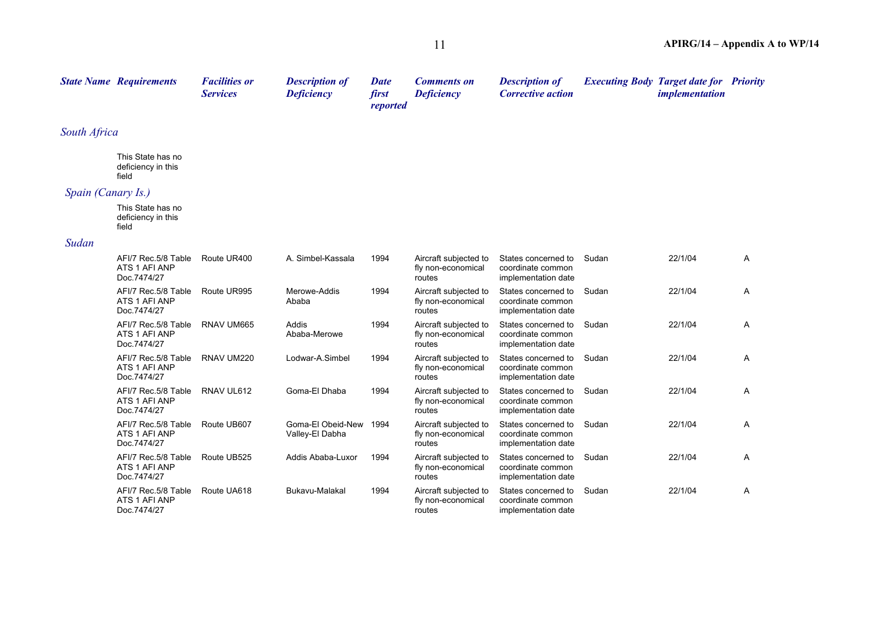|                    | <b>State Name Requirements</b>                      | <b>Facilities or</b><br><b>Services</b> | <b>Description of</b><br><b>Deficiency</b> | <b>Date</b><br>first<br>reported | <b>Comments on</b><br><b>Deficiency</b>               | <b>Description of</b><br><b>Corrective action</b>               |       | <b>Executing Body Target date for Priority</b><br><i>implementation</i> |   |
|--------------------|-----------------------------------------------------|-----------------------------------------|--------------------------------------------|----------------------------------|-------------------------------------------------------|-----------------------------------------------------------------|-------|-------------------------------------------------------------------------|---|
| South Africa       |                                                     |                                         |                                            |                                  |                                                       |                                                                 |       |                                                                         |   |
|                    | This State has no<br>deficiency in this<br>field    |                                         |                                            |                                  |                                                       |                                                                 |       |                                                                         |   |
| Spain (Canary Is.) |                                                     |                                         |                                            |                                  |                                                       |                                                                 |       |                                                                         |   |
|                    | This State has no<br>deficiency in this<br>field    |                                         |                                            |                                  |                                                       |                                                                 |       |                                                                         |   |
| Sudan              |                                                     |                                         |                                            |                                  |                                                       |                                                                 |       |                                                                         |   |
|                    | AFI/7 Rec.5/8 Table<br>ATS 1 AFI ANP<br>Doc.7474/27 | Route UR400                             | A. Simbel-Kassala                          | 1994                             | Aircraft subjected to<br>fly non-economical<br>routes | States concerned to<br>coordinate common<br>implementation date | Sudan | 22/1/04                                                                 | A |
|                    | AFI/7 Rec.5/8 Table<br>ATS 1 AFI ANP<br>Doc.7474/27 | Route UR995                             | Merowe-Addis<br>Ababa                      | 1994                             | Aircraft subjected to<br>fly non-economical<br>routes | States concerned to<br>coordinate common<br>implementation date | Sudan | 22/1/04                                                                 | A |
|                    | AFI/7 Rec.5/8 Table<br>ATS 1 AFI ANP<br>Doc.7474/27 | RNAV UM665                              | Addis<br>Ababa-Merowe                      | 1994                             | Aircraft subjected to<br>fly non-economical<br>routes | States concerned to<br>coordinate common<br>implementation date | Sudan | 22/1/04                                                                 | A |
|                    | AFI/7 Rec.5/8 Table<br>ATS 1 AFI ANP<br>Doc.7474/27 | RNAV UM220                              | Lodwar-A.Simbel                            | 1994                             | Aircraft subjected to<br>fly non-economical<br>routes | States concerned to<br>coordinate common<br>implementation date | Sudan | 22/1/04                                                                 | A |
|                    | AFI/7 Rec.5/8 Table<br>ATS 1 AFI ANP<br>Doc.7474/27 | RNAV UL612                              | Goma-El Dhaba                              | 1994                             | Aircraft subjected to<br>fly non-economical<br>routes | States concerned to<br>coordinate common<br>implementation date | Sudan | 22/1/04                                                                 | A |
|                    | AFI/7 Rec.5/8 Table<br>ATS 1 AFI ANP<br>Doc.7474/27 | Route UB607                             | Goma-El Obeid-New<br>Valley-El Dabha       | 1994                             | Aircraft subjected to<br>fly non-economical<br>routes | States concerned to<br>coordinate common<br>implementation date | Sudan | 22/1/04                                                                 | A |
|                    | AFI/7 Rec.5/8 Table<br>ATS 1 AFI ANP<br>Doc.7474/27 | Route UB525                             | Addis Ababa-Luxor                          | 1994                             | Aircraft subjected to<br>fly non-economical<br>routes | States concerned to<br>coordinate common<br>implementation date | Sudan | 22/1/04                                                                 | A |
|                    | AFI/7 Rec.5/8 Table<br>ATS 1 AFI ANP<br>Doc.7474/27 | Route UA618                             | Bukavu-Malakal                             | 1994                             | Aircraft subjected to<br>fly non-economical<br>routes | States concerned to<br>coordinate common<br>implementation date | Sudan | 22/1/04                                                                 | A |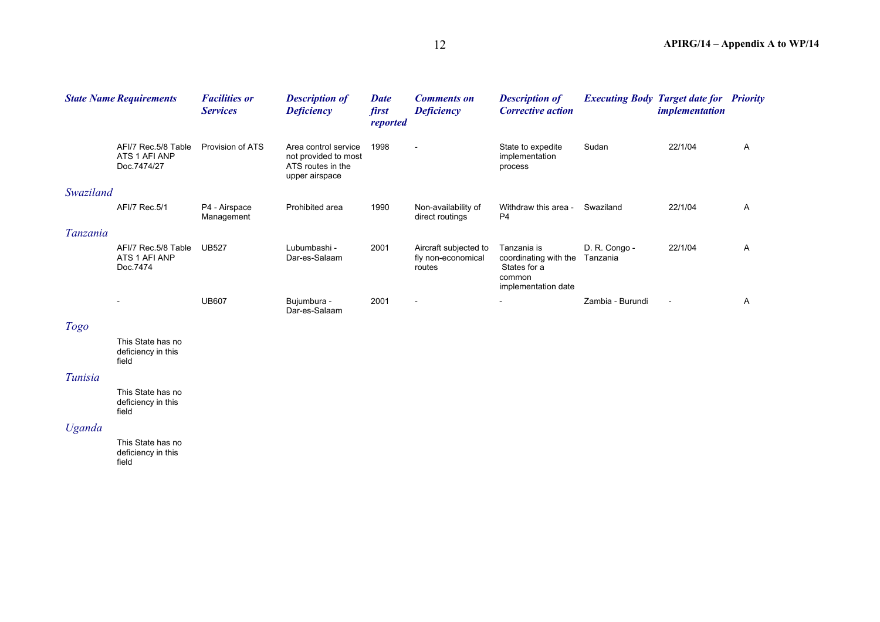|           | <b>State Name Requirements</b>                      | <b>Facilities or</b><br><b>Services</b> | <b>Description of</b><br><b>Deficiency</b>                                          | <b>Date</b><br>first<br>reported | <b>Comments on</b><br><b>Deficiency</b>               | <b>Description of</b><br><b>Corrective action</b>                                     |                           | <b>Executing Body Target date for Priority</b><br><i>implementation</i> |   |
|-----------|-----------------------------------------------------|-----------------------------------------|-------------------------------------------------------------------------------------|----------------------------------|-------------------------------------------------------|---------------------------------------------------------------------------------------|---------------------------|-------------------------------------------------------------------------|---|
|           | AFI/7 Rec.5/8 Table<br>ATS 1 AFI ANP<br>Doc.7474/27 | Provision of ATS                        | Area control service<br>not provided to most<br>ATS routes in the<br>upper airspace | 1998                             | $\overline{\phantom{0}}$                              | State to expedite<br>implementation<br>process                                        | Sudan                     | 22/1/04                                                                 | A |
| Swaziland |                                                     |                                         |                                                                                     |                                  |                                                       |                                                                                       |                           |                                                                         |   |
|           | AFI/7 Rec.5/1                                       | P4 - Airspace<br>Management             | Prohibited area                                                                     | 1990                             | Non-availability of<br>direct routings                | Withdraw this area -<br>P <sub>4</sub>                                                | Swaziland                 | 22/1/04                                                                 | A |
| Tanzania  |                                                     |                                         |                                                                                     |                                  |                                                       |                                                                                       |                           |                                                                         |   |
|           | AFI/7 Rec.5/8 Table<br>ATS 1 AFI ANP<br>Doc.7474    | <b>UB527</b>                            | Lubumbashi -<br>Dar-es-Salaam                                                       | 2001                             | Aircraft subjected to<br>fly non-economical<br>routes | Tanzania is<br>coordinating with the<br>States for a<br>common<br>implementation date | D. R. Congo -<br>Tanzania | 22/1/04                                                                 | A |
|           |                                                     | <b>UB607</b>                            | Bujumbura -<br>Dar-es-Salaam                                                        | 2001                             | $\overline{\phantom{0}}$                              | $\overline{\phantom{a}}$                                                              | Zambia - Burundi          | $\overline{\phantom{0}}$                                                | A |

## *Togo*

This State has no deficiency in this field

#### *Tunisia*

This State has no deficiency in this field

## *Uganda*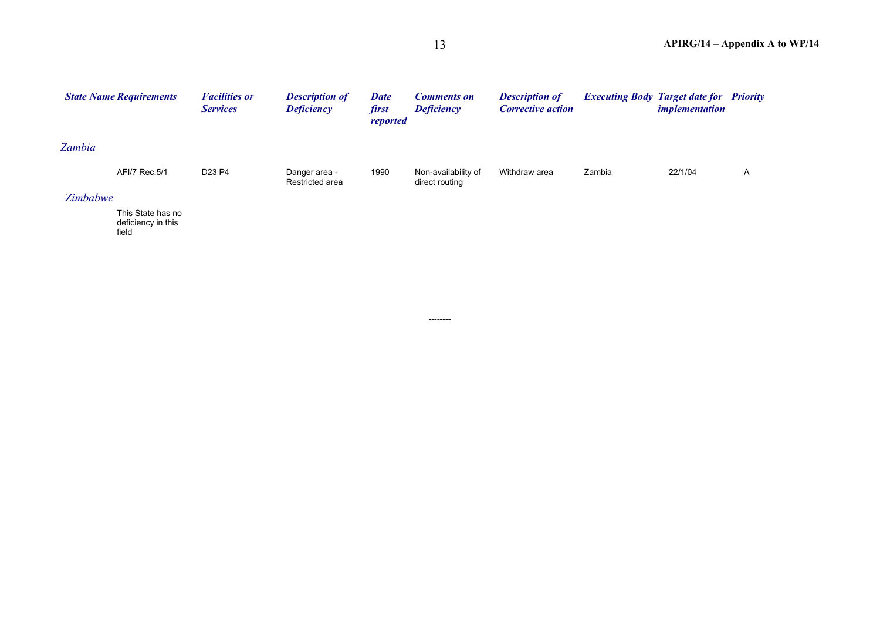|                 | <b>State Name Requirements</b>                   | <b>Facilities or</b><br><b>Services</b> | <b>Description of</b><br><b>Deficiency</b> | <b>Date</b><br>first<br>reported | <b>Comments on</b><br><b>Deficiency</b> | <b>Description of</b><br><b>Corrective action</b> |        | <b>Executing Body Target date for</b><br><i>implementation</i> | <b>Priority</b> |
|-----------------|--------------------------------------------------|-----------------------------------------|--------------------------------------------|----------------------------------|-----------------------------------------|---------------------------------------------------|--------|----------------------------------------------------------------|-----------------|
| Zambia          |                                                  |                                         |                                            |                                  |                                         |                                                   |        |                                                                |                 |
|                 | AFI/7 Rec.5/1                                    | D <sub>23</sub> P <sub>4</sub>          | Danger area -<br>Restricted area           | 1990                             | Non-availability of<br>direct routing   | Withdraw area                                     | Zambia | 22/1/04                                                        | A               |
| <b>Zimbabwe</b> |                                                  |                                         |                                            |                                  |                                         |                                                   |        |                                                                |                 |
|                 | This State has no<br>deficiency in this<br>field |                                         |                                            |                                  |                                         |                                                   |        |                                                                |                 |

--------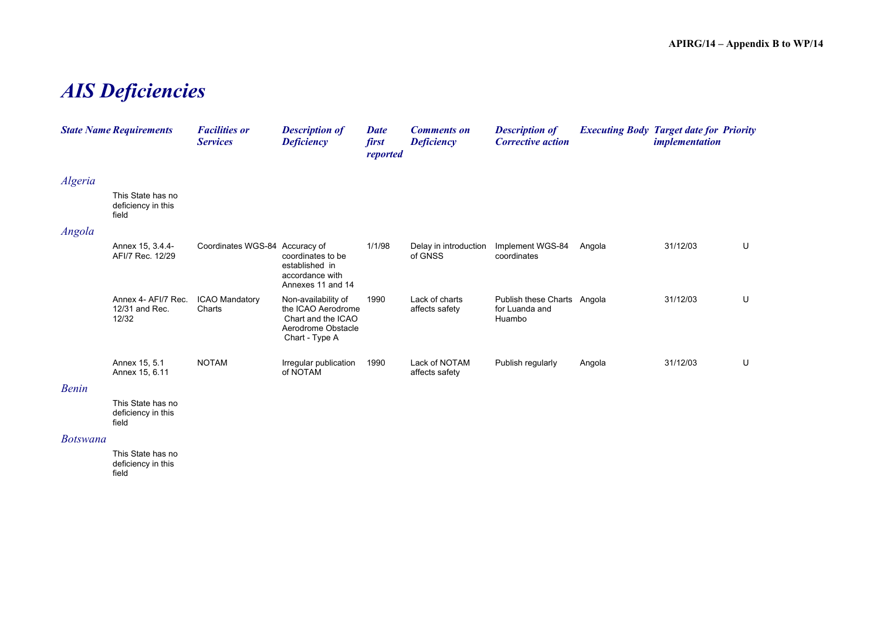## *AIS Deficiencies*

|         | <b>State Name Requirements</b>                   | <b>Facilities or</b><br><b>Services</b> | <b>Description of</b><br><b>Deficiency</b>                                                              | <b>Date</b><br>first<br>reported | <b>Comments on</b><br><b>Deficiency</b> | <b>Description of</b><br><b>Corrective action</b>       | <b>Executing Body Target date for Priority</b> | <i>implementation</i> |   |
|---------|--------------------------------------------------|-----------------------------------------|---------------------------------------------------------------------------------------------------------|----------------------------------|-----------------------------------------|---------------------------------------------------------|------------------------------------------------|-----------------------|---|
| Algeria |                                                  |                                         |                                                                                                         |                                  |                                         |                                                         |                                                |                       |   |
|         | This State has no<br>deficiency in this<br>field |                                         |                                                                                                         |                                  |                                         |                                                         |                                                |                       |   |
| Angola  |                                                  |                                         |                                                                                                         |                                  |                                         |                                                         |                                                |                       |   |
|         | Annex 15, 3.4.4-<br>AFI/7 Rec. 12/29             | Coordinates WGS-84 Accuracy of          | coordinates to be<br>established in<br>accordance with<br>Annexes 11 and 14                             | 1/1/98                           | Delay in introduction<br>of GNSS        | Implement WGS-84<br>coordinates                         | Angola                                         | 31/12/03              | U |
|         | Annex 4- AFI/7 Rec.<br>12/31 and Rec.<br>12/32   | <b>ICAO Mandatory</b><br>Charts         | Non-availability of<br>the ICAO Aerodrome<br>Chart and the ICAO<br>Aerodrome Obstacle<br>Chart - Type A | 1990                             | Lack of charts<br>affects safety        | Publish these Charts Angola<br>for Luanda and<br>Huambo |                                                | 31/12/03              | U |
|         | Annex 15, 5.1<br>Annex 15, 6.11                  | <b>NOTAM</b>                            | Irregular publication<br>of NOTAM                                                                       | 1990                             | Lack of NOTAM<br>affects safety         | Publish regularly                                       | Angola                                         | 31/12/03              | U |

#### *Benin*

This State has no deficiency in this field

#### *Botswana*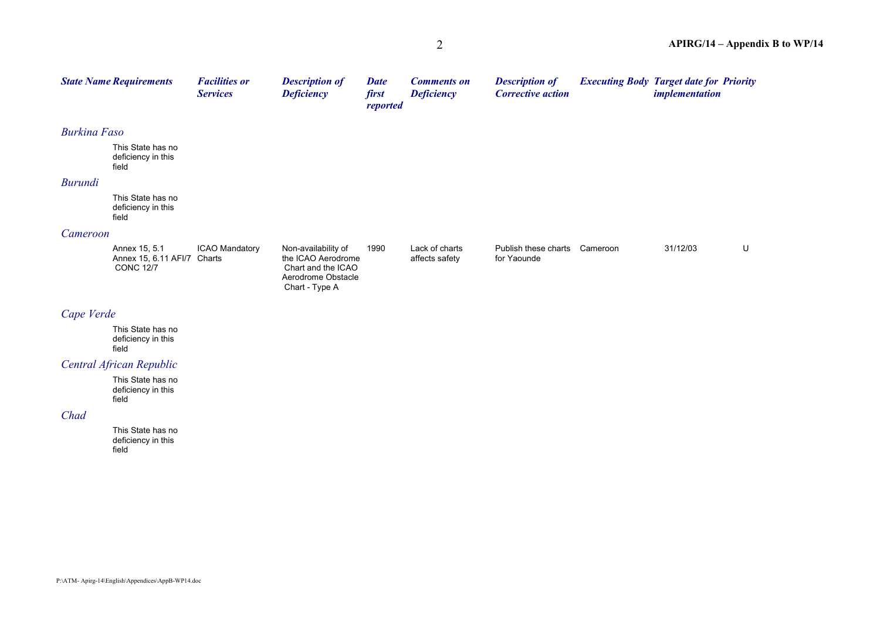|                     | <b>State Name Requirements</b>                            | <b>Facilities or</b><br><b>Services</b> | <b>Description of</b><br><b>Deficiency</b>                                            | <b>Date</b><br>first<br>reported | <b>Comments on</b><br><b>Deficiency</b> | <b>Description of</b><br><b>Corrective action</b> | <b>Executing Body Target date for Priority</b> | <i>implementation</i> |   |
|---------------------|-----------------------------------------------------------|-----------------------------------------|---------------------------------------------------------------------------------------|----------------------------------|-----------------------------------------|---------------------------------------------------|------------------------------------------------|-----------------------|---|
| <b>Burkina Faso</b> |                                                           |                                         |                                                                                       |                                  |                                         |                                                   |                                                |                       |   |
|                     | This State has no<br>deficiency in this<br>field          |                                         |                                                                                       |                                  |                                         |                                                   |                                                |                       |   |
| Burundi             |                                                           |                                         |                                                                                       |                                  |                                         |                                                   |                                                |                       |   |
|                     | This State has no<br>deficiency in this<br>field          |                                         |                                                                                       |                                  |                                         |                                                   |                                                |                       |   |
| Cameroon            |                                                           |                                         |                                                                                       |                                  |                                         |                                                   |                                                |                       |   |
|                     | Annex 15, 5.1<br>Annex 15, 6.11 AFI/7<br><b>CONC 12/7</b> | <b>ICAO Mandatory</b><br>Charts         | Non-availability of<br>the ICAO Aerodrome<br>Chart and the ICAO<br>Aerodrome Obstacle | 1990                             | Lack of charts<br>affects safety        | Publish these charts<br>for Yaounde               | Cameroon                                       | 31/12/03              | U |

Chart - Type A

### *Cape Verde*

This State has no deficiency in this field

## *Central African Republic*

This State has no deficiency in this field

#### *Chad*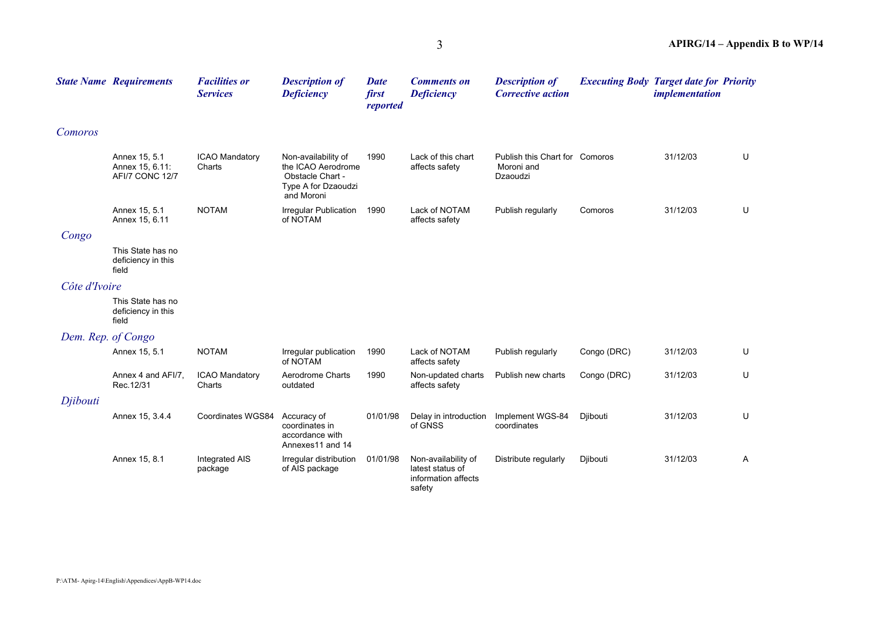|               | <b>State Name Requirements</b>                      | <b>Facilities or</b><br><b>Services</b> | <b>Description of</b><br><b>Deficiency</b>                                                         | <b>Date</b><br>first<br>reported | <b>Comments on</b><br><b>Deficiency</b>                                  | <b>Description of</b><br><b>Corrective action</b>        | <b>Executing Body Target date for Priority</b> | <i>implementation</i> |   |
|---------------|-----------------------------------------------------|-----------------------------------------|----------------------------------------------------------------------------------------------------|----------------------------------|--------------------------------------------------------------------------|----------------------------------------------------------|------------------------------------------------|-----------------------|---|
| Comoros       |                                                     |                                         |                                                                                                    |                                  |                                                                          |                                                          |                                                |                       |   |
|               | Annex 15, 5.1<br>Annex 15, 6.11:<br>AFI/7 CONC 12/7 | <b>ICAO Mandatory</b><br>Charts         | Non-availability of<br>the ICAO Aerodrome<br>Obstacle Chart -<br>Type A for Dzaoudzi<br>and Moroni | 1990                             | Lack of this chart<br>affects safety                                     | Publish this Chart for Comoros<br>Moroni and<br>Dzaoudzi |                                                | 31/12/03              | U |
|               | Annex 15, 5.1<br>Annex 15, 6.11                     | <b>NOTAM</b>                            | <b>Irregular Publication</b><br>of NOTAM                                                           | 1990                             | Lack of NOTAM<br>affects safety                                          | Publish regularly                                        | Comoros                                        | 31/12/03              | U |
| Congo         |                                                     |                                         |                                                                                                    |                                  |                                                                          |                                                          |                                                |                       |   |
|               | This State has no<br>deficiency in this<br>field    |                                         |                                                                                                    |                                  |                                                                          |                                                          |                                                |                       |   |
| Côte d'Ivoire |                                                     |                                         |                                                                                                    |                                  |                                                                          |                                                          |                                                |                       |   |
|               | This State has no<br>deficiency in this<br>field    |                                         |                                                                                                    |                                  |                                                                          |                                                          |                                                |                       |   |
|               | Dem. Rep. of Congo                                  |                                         |                                                                                                    |                                  |                                                                          |                                                          |                                                |                       |   |
|               | Annex 15, 5.1                                       | <b>NOTAM</b>                            | Irregular publication<br>of NOTAM                                                                  | 1990                             | Lack of NOTAM<br>affects safety                                          | Publish regularly                                        | Congo (DRC)                                    | 31/12/03              | U |
|               | Annex 4 and AFI/7,<br>Rec. 12/31                    | <b>ICAO Mandatory</b><br>Charts         | Aerodrome Charts<br>outdated                                                                       | 1990                             | Non-updated charts<br>affects safety                                     | Publish new charts                                       | Congo (DRC)                                    | 31/12/03              | U |
| Djibouti      |                                                     |                                         |                                                                                                    |                                  |                                                                          |                                                          |                                                |                       |   |
|               | Annex 15, 3.4.4                                     | Coordinates WGS84                       | Accuracy of<br>coordinates in<br>accordance with<br>Annexes11 and 14                               | 01/01/98                         | Delay in introduction<br>of GNSS                                         | Implement WGS-84<br>coordinates                          | Djibouti                                       | 31/12/03              | U |
|               | Annex 15, 8.1                                       | Integrated AIS<br>package               | Irregular distribution<br>of AIS package                                                           | 01/01/98                         | Non-availability of<br>latest status of<br>information affects<br>safety | Distribute regularly                                     | Diibouti                                       | 31/12/03              | A |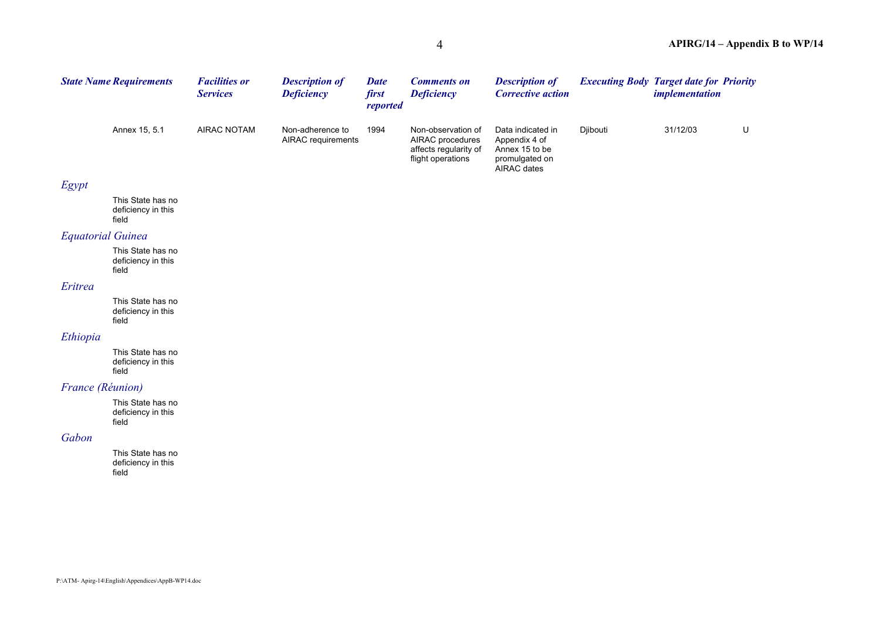|                          | <b>State Name Requirements</b>                   | <b>Facilities or</b><br><b>Services</b> | <b>Description of</b><br><b>Deficiency</b> | <b>Date</b><br>first<br>reported | <b>Comments on</b><br><b>Deficiency</b>                                              | <b>Description of</b><br><b>Corrective action</b>                                     | <b>Executing Body Target date for Priority</b> | <i>implementation</i> |         |
|--------------------------|--------------------------------------------------|-----------------------------------------|--------------------------------------------|----------------------------------|--------------------------------------------------------------------------------------|---------------------------------------------------------------------------------------|------------------------------------------------|-----------------------|---------|
|                          | Annex 15, 5.1                                    | <b>AIRAC NOTAM</b>                      | Non-adherence to<br>AIRAC requirements     | 1994                             | Non-observation of<br>AIRAC procedures<br>affects regularity of<br>flight operations | Data indicated in<br>Appendix 4 of<br>Annex 15 to be<br>promulgated on<br>AIRAC dates | Djibouti                                       | 31/12/03              | $\sf U$ |
| Egypt                    |                                                  |                                         |                                            |                                  |                                                                                      |                                                                                       |                                                |                       |         |
|                          | This State has no<br>deficiency in this<br>field |                                         |                                            |                                  |                                                                                      |                                                                                       |                                                |                       |         |
| <b>Equatorial Guinea</b> |                                                  |                                         |                                            |                                  |                                                                                      |                                                                                       |                                                |                       |         |
|                          | This State has no<br>deficiency in this<br>field |                                         |                                            |                                  |                                                                                      |                                                                                       |                                                |                       |         |
| Eritrea                  |                                                  |                                         |                                            |                                  |                                                                                      |                                                                                       |                                                |                       |         |
|                          | This State has no<br>deficiency in this<br>field |                                         |                                            |                                  |                                                                                      |                                                                                       |                                                |                       |         |
| Ethiopia                 |                                                  |                                         |                                            |                                  |                                                                                      |                                                                                       |                                                |                       |         |
|                          | This State has no<br>deficiency in this<br>field |                                         |                                            |                                  |                                                                                      |                                                                                       |                                                |                       |         |
| France (Réunion)         |                                                  |                                         |                                            |                                  |                                                                                      |                                                                                       |                                                |                       |         |
|                          | This State has no<br>deficiency in this<br>field |                                         |                                            |                                  |                                                                                      |                                                                                       |                                                |                       |         |
| Gabon                    |                                                  |                                         |                                            |                                  |                                                                                      |                                                                                       |                                                |                       |         |
|                          | This State has no<br>deficiency in this<br>field |                                         |                                            |                                  |                                                                                      |                                                                                       |                                                |                       |         |
|                          |                                                  |                                         |                                            |                                  |                                                                                      |                                                                                       |                                                |                       |         |
|                          |                                                  |                                         |                                            |                                  |                                                                                      |                                                                                       |                                                |                       |         |
|                          |                                                  |                                         |                                            |                                  |                                                                                      |                                                                                       |                                                |                       |         |
|                          |                                                  |                                         |                                            |                                  |                                                                                      |                                                                                       |                                                |                       |         |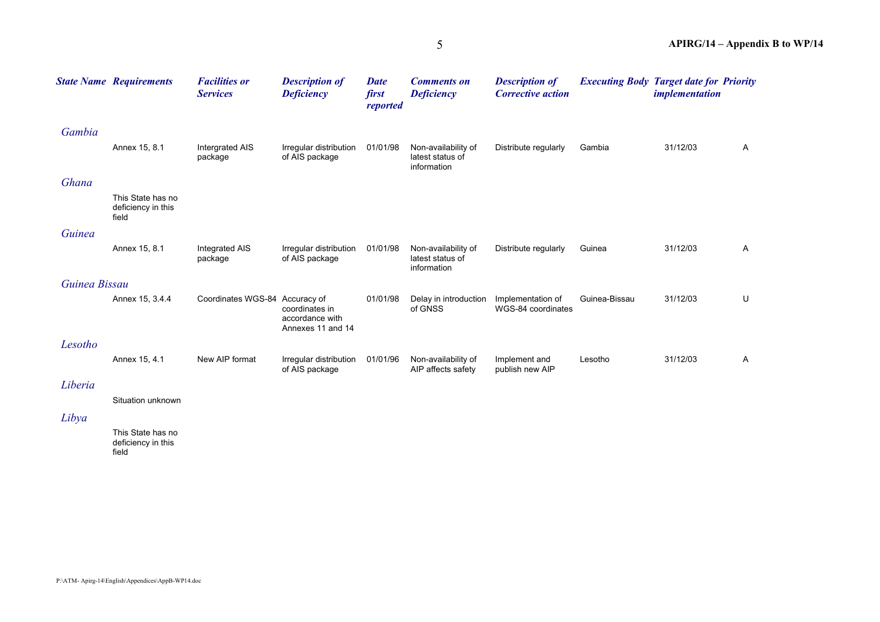|               | <b>State Name Requirements</b>                   | <b>Facilities or</b><br><b>Services</b> | <b>Description of</b><br><b>Deficiency</b>             | <b>Date</b><br>first<br>reported | <b>Comments on</b><br><b>Deficiency</b>                | <b>Description of</b><br><b>Corrective action</b> | <b>Executing Body Target date for Priority</b> | <i>implementation</i> |              |
|---------------|--------------------------------------------------|-----------------------------------------|--------------------------------------------------------|----------------------------------|--------------------------------------------------------|---------------------------------------------------|------------------------------------------------|-----------------------|--------------|
| Gambia        |                                                  |                                         |                                                        |                                  |                                                        |                                                   |                                                |                       |              |
|               | Annex 15, 8.1                                    | Intergrated AIS<br>package              | Irregular distribution<br>of AIS package               | 01/01/98                         | Non-availability of<br>latest status of<br>information | Distribute regularly                              | Gambia                                         | 31/12/03              | A            |
| Ghana         |                                                  |                                         |                                                        |                                  |                                                        |                                                   |                                                |                       |              |
|               | This State has no<br>deficiency in this<br>field |                                         |                                                        |                                  |                                                        |                                                   |                                                |                       |              |
| Guinea        |                                                  |                                         |                                                        |                                  |                                                        |                                                   |                                                |                       |              |
|               | Annex 15, 8.1                                    | Integrated AIS<br>package               | Irregular distribution<br>of AIS package               | 01/01/98                         | Non-availability of<br>latest status of<br>information | Distribute regularly                              | Guinea                                         | 31/12/03              | A            |
| Guinea Bissau |                                                  |                                         |                                                        |                                  |                                                        |                                                   |                                                |                       |              |
|               | Annex 15, 3.4.4                                  | Coordinates WGS-84 Accuracy of          | coordinates in<br>accordance with<br>Annexes 11 and 14 | 01/01/98                         | Delay in introduction<br>of GNSS                       | Implementation of<br>WGS-84 coordinates           | Guinea-Bissau                                  | 31/12/03              | U            |
| Lesotho       |                                                  |                                         |                                                        |                                  |                                                        |                                                   |                                                |                       |              |
|               | Annex 15, 4.1                                    | New AIP format                          | Irregular distribution<br>of AIS package               | 01/01/96                         | Non-availability of<br>AIP affects safety              | Implement and<br>publish new AIP                  | Lesotho                                        | 31/12/03              | $\mathsf{A}$ |
| Liberia       |                                                  |                                         |                                                        |                                  |                                                        |                                                   |                                                |                       |              |
|               | Situation unknown                                |                                         |                                                        |                                  |                                                        |                                                   |                                                |                       |              |
| Libya         |                                                  |                                         |                                                        |                                  |                                                        |                                                   |                                                |                       |              |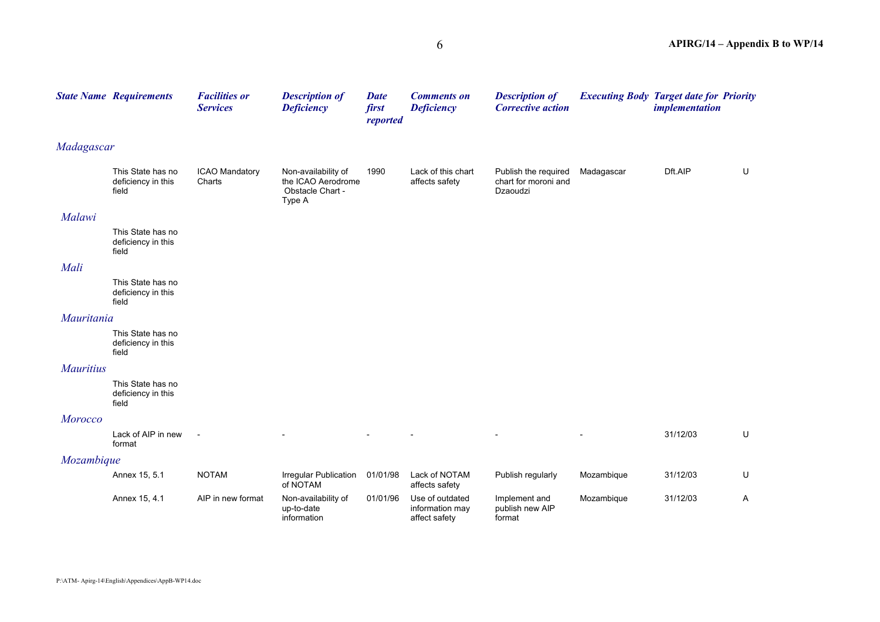|                  | <b>State Name Requirements</b>                   | <b>Facilities or</b><br><b>Services</b> | <b>Description of</b><br><b>Deficiency</b>                              | <b>Date</b><br>first<br>reported | <b>Comments on</b><br><b>Deficiency</b>             | <b>Description of</b><br><b>Corrective action</b>        | <b>Executing Body Target date for Priority</b> | <i>implementation</i> |   |
|------------------|--------------------------------------------------|-----------------------------------------|-------------------------------------------------------------------------|----------------------------------|-----------------------------------------------------|----------------------------------------------------------|------------------------------------------------|-----------------------|---|
| Madagascar       |                                                  |                                         |                                                                         |                                  |                                                     |                                                          |                                                |                       |   |
|                  | This State has no<br>deficiency in this<br>field | <b>ICAO Mandatory</b><br>Charts         | Non-availability of<br>the ICAO Aerodrome<br>Obstacle Chart -<br>Type A | 1990                             | Lack of this chart<br>affects safety                | Publish the required<br>chart for moroni and<br>Dzaoudzi | Madagascar                                     | Dft.AIP               | U |
| Malawi           |                                                  |                                         |                                                                         |                                  |                                                     |                                                          |                                                |                       |   |
|                  | This State has no<br>deficiency in this<br>field |                                         |                                                                         |                                  |                                                     |                                                          |                                                |                       |   |
| Mali             |                                                  |                                         |                                                                         |                                  |                                                     |                                                          |                                                |                       |   |
|                  | This State has no<br>deficiency in this<br>field |                                         |                                                                         |                                  |                                                     |                                                          |                                                |                       |   |
| Mauritania       |                                                  |                                         |                                                                         |                                  |                                                     |                                                          |                                                |                       |   |
|                  | This State has no<br>deficiency in this<br>field |                                         |                                                                         |                                  |                                                     |                                                          |                                                |                       |   |
| <b>Mauritius</b> |                                                  |                                         |                                                                         |                                  |                                                     |                                                          |                                                |                       |   |
|                  | This State has no<br>deficiency in this<br>field |                                         |                                                                         |                                  |                                                     |                                                          |                                                |                       |   |
| <b>Morocco</b>   |                                                  |                                         |                                                                         |                                  |                                                     |                                                          |                                                |                       |   |
|                  | Lack of AIP in new<br>format                     | $\overline{a}$                          |                                                                         |                                  |                                                     |                                                          |                                                | 31/12/03              | U |
| Mozambique       |                                                  |                                         |                                                                         |                                  |                                                     |                                                          |                                                |                       |   |
|                  | Annex 15, 5.1                                    | <b>NOTAM</b>                            | Irregular Publication<br>of NOTAM                                       | 01/01/98                         | Lack of NOTAM<br>affects safety                     | Publish regularly                                        | Mozambique                                     | 31/12/03              | U |
|                  | Annex 15, 4.1                                    | AIP in new format                       | Non-availability of<br>up-to-date<br>information                        | 01/01/96                         | Use of outdated<br>information may<br>affect safety | Implement and<br>publish new AIP<br>format               | Mozambique                                     | 31/12/03              | A |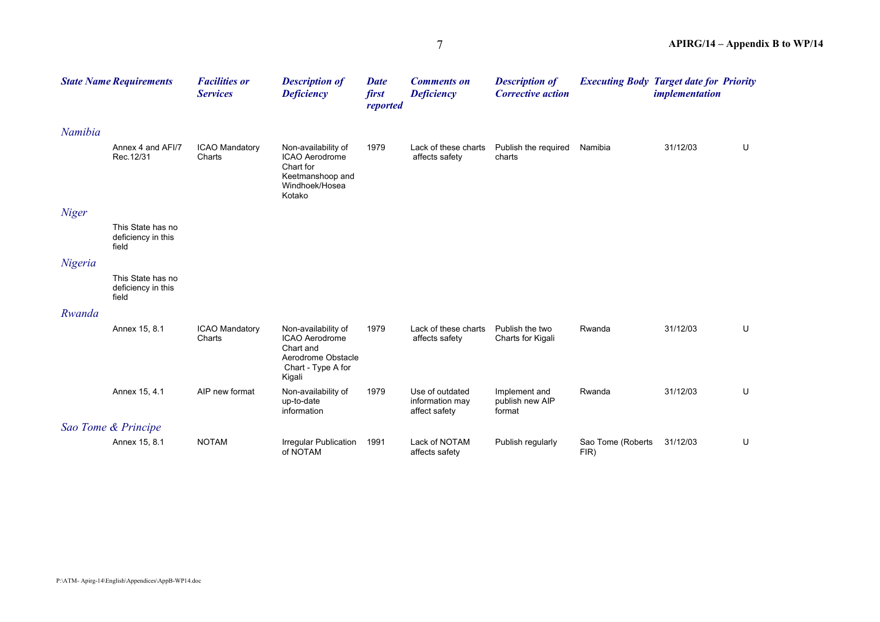|              | <b>State Name Requirements</b>                   | <b>Facilities or</b><br><b>Services</b> | <b>Description of</b><br><b>Deficiency</b>                                                               | <b>Date</b><br>first<br>reported | <b>Comments on</b><br><b>Deficiency</b>             | <b>Description of</b><br><b>Corrective action</b> | <b>Executing Body Target date for Priority</b> | <i>implementation</i> |   |
|--------------|--------------------------------------------------|-----------------------------------------|----------------------------------------------------------------------------------------------------------|----------------------------------|-----------------------------------------------------|---------------------------------------------------|------------------------------------------------|-----------------------|---|
| Namibia      |                                                  |                                         |                                                                                                          |                                  |                                                     |                                                   |                                                |                       |   |
|              | Annex 4 and AFI/7<br>Rec. 12/31                  | ICAO Mandatory<br>Charts                | Non-availability of<br>ICAO Aerodrome<br>Chart for<br>Keetmanshoop and<br>Windhoek/Hosea<br>Kotako       | 1979                             | Lack of these charts<br>affects safety              | Publish the required<br>charts                    | Namibia                                        | 31/12/03              | U |
| <b>Niger</b> |                                                  |                                         |                                                                                                          |                                  |                                                     |                                                   |                                                |                       |   |
|              | This State has no<br>deficiency in this<br>field |                                         |                                                                                                          |                                  |                                                     |                                                   |                                                |                       |   |
| Nigeria      |                                                  |                                         |                                                                                                          |                                  |                                                     |                                                   |                                                |                       |   |
|              | This State has no<br>deficiency in this<br>field |                                         |                                                                                                          |                                  |                                                     |                                                   |                                                |                       |   |
| Rwanda       |                                                  |                                         |                                                                                                          |                                  |                                                     |                                                   |                                                |                       |   |
|              | Annex 15, 8.1                                    | <b>ICAO Mandatory</b><br>Charts         | Non-availability of<br>ICAO Aerodrome<br>Chart and<br>Aerodrome Obstacle<br>Chart - Type A for<br>Kigali | 1979                             | Lack of these charts<br>affects safety              | Publish the two<br>Charts for Kigali              | Rwanda                                         | 31/12/03              | U |
|              | Annex 15, 4.1                                    | AIP new format                          | Non-availability of<br>up-to-date<br>information                                                         | 1979                             | Use of outdated<br>information may<br>affect safety | Implement and<br>publish new AIP<br>format        | Rwanda                                         | 31/12/03              | U |
|              | Sao Tome & Principe                              |                                         |                                                                                                          |                                  |                                                     |                                                   |                                                |                       |   |
|              | Annex 15, 8.1                                    | <b>NOTAM</b>                            | <b>Irregular Publication</b><br>of NOTAM                                                                 | 1991                             | Lack of NOTAM<br>affects safety                     | Publish regularly                                 | Sao Tome (Roberts<br>FIR)                      | 31/12/03              | U |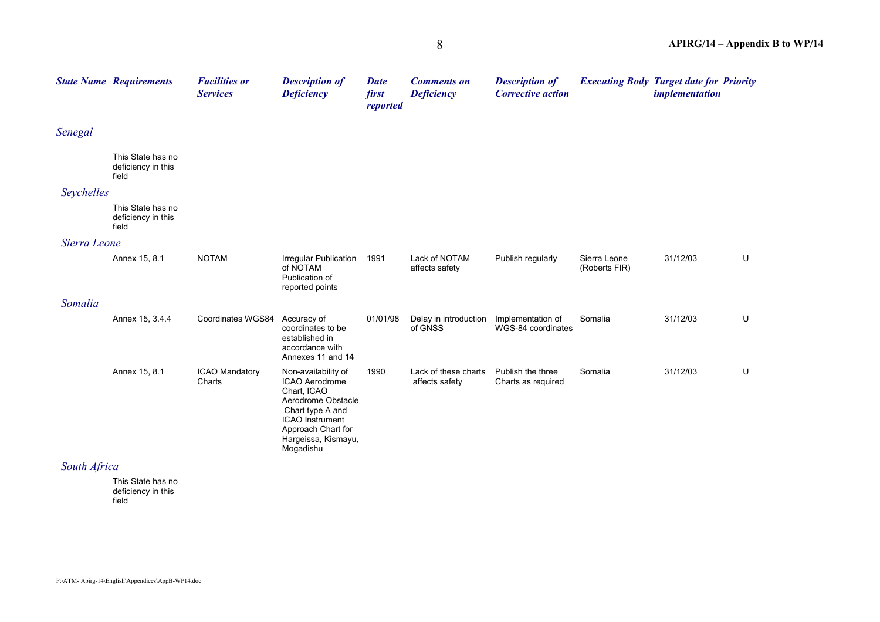|              | <b>State Name Requirements</b>                   | <b>Facilities or</b><br><b>Services</b> | <b>Description of</b><br><b>Deficiency</b>                                                                                                                                                | <b>Date</b><br>first<br>reported | <b>Comments on</b><br><b>Deficiency</b> | <b>Description of</b><br><b>Corrective action</b> | <b>Executing Body Target date for Priority</b> | implementation |   |
|--------------|--------------------------------------------------|-----------------------------------------|-------------------------------------------------------------------------------------------------------------------------------------------------------------------------------------------|----------------------------------|-----------------------------------------|---------------------------------------------------|------------------------------------------------|----------------|---|
| Senegal      |                                                  |                                         |                                                                                                                                                                                           |                                  |                                         |                                                   |                                                |                |   |
|              | This State has no<br>deficiency in this<br>field |                                         |                                                                                                                                                                                           |                                  |                                         |                                                   |                                                |                |   |
| Seychelles   |                                                  |                                         |                                                                                                                                                                                           |                                  |                                         |                                                   |                                                |                |   |
|              | This State has no<br>deficiency in this<br>field |                                         |                                                                                                                                                                                           |                                  |                                         |                                                   |                                                |                |   |
| Sierra Leone |                                                  |                                         |                                                                                                                                                                                           |                                  |                                         |                                                   |                                                |                |   |
|              | Annex 15, 8.1                                    | <b>NOTAM</b>                            | Irregular Publication<br>of NOTAM<br>Publication of<br>reported points                                                                                                                    | 1991                             | Lack of NOTAM<br>affects safety         | Publish regularly                                 | Sierra Leone<br>(Roberts FIR)                  | 31/12/03       | U |
| Somalia      |                                                  |                                         |                                                                                                                                                                                           |                                  |                                         |                                                   |                                                |                |   |
|              | Annex 15, 3.4.4                                  | Coordinates WGS84                       | Accuracy of<br>coordinates to be<br>established in<br>accordance with<br>Annexes 11 and 14                                                                                                | 01/01/98                         | Delay in introduction<br>of GNSS        | Implementation of<br>WGS-84 coordinates           | Somalia                                        | 31/12/03       | U |
|              | Annex 15, 8.1                                    | <b>ICAO Mandatory</b><br>Charts         | Non-availability of<br><b>ICAO Aerodrome</b><br>Chart, ICAO<br>Aerodrome Obstacle<br>Chart type A and<br><b>ICAO</b> Instrument<br>Approach Chart for<br>Hargeissa, Kismayu,<br>Mogadishu | 1990                             | Lack of these charts<br>affects safety  | Publish the three<br>Charts as required           | Somalia                                        | 31/12/03       | U |
| South Africa |                                                  |                                         |                                                                                                                                                                                           |                                  |                                         |                                                   |                                                |                |   |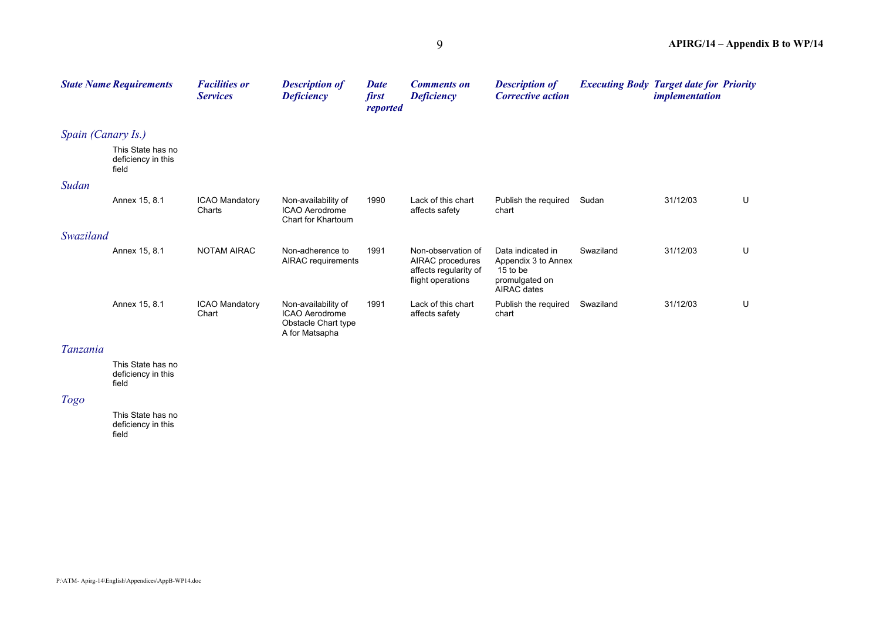|                    | <b>State Name Requirements</b>                   | <b>Facilities or</b><br><b>Services</b> | <b>Description of</b><br><b>Deficiency</b>                                            | <b>Date</b><br>first<br>reported | <b>Comments on</b><br><b>Deficiency</b>                                              | <b>Description of</b><br><b>Corrective action</b>                                     | <b>Executing Body Target date for Priority</b> | <i>implementation</i> |   |
|--------------------|--------------------------------------------------|-----------------------------------------|---------------------------------------------------------------------------------------|----------------------------------|--------------------------------------------------------------------------------------|---------------------------------------------------------------------------------------|------------------------------------------------|-----------------------|---|
| Spain (Canary Is.) |                                                  |                                         |                                                                                       |                                  |                                                                                      |                                                                                       |                                                |                       |   |
|                    | This State has no<br>deficiency in this<br>field |                                         |                                                                                       |                                  |                                                                                      |                                                                                       |                                                |                       |   |
| Sudan              |                                                  |                                         |                                                                                       |                                  |                                                                                      |                                                                                       |                                                |                       |   |
|                    | Annex 15, 8.1                                    | <b>ICAO Mandatory</b><br>Charts         | Non-availability of<br><b>ICAO Aerodrome</b><br>Chart for Khartoum                    | 1990                             | Lack of this chart<br>affects safety                                                 | Publish the required<br>chart                                                         | Sudan                                          | 31/12/03              | U |
| Swaziland          |                                                  |                                         |                                                                                       |                                  |                                                                                      |                                                                                       |                                                |                       |   |
|                    | Annex 15, 8.1                                    | <b>NOTAM AIRAC</b>                      | Non-adherence to<br>AIRAC requirements                                                | 1991                             | Non-observation of<br>AIRAC procedures<br>affects regularity of<br>flight operations | Data indicated in<br>Appendix 3 to Annex<br>15 to be<br>promulgated on<br>AIRAC dates | Swaziland                                      | 31/12/03              | U |
|                    | Annex 15, 8.1                                    | <b>ICAO Mandatory</b><br>Chart          | Non-availability of<br><b>ICAO Aerodrome</b><br>Obstacle Chart type<br>A for Matsapha | 1991                             | Lack of this chart<br>affects safety                                                 | Publish the required<br>chart                                                         | Swaziland                                      | 31/12/03              | U |

#### *Tanzania*

This State has no deficiency in this field

## *Togo*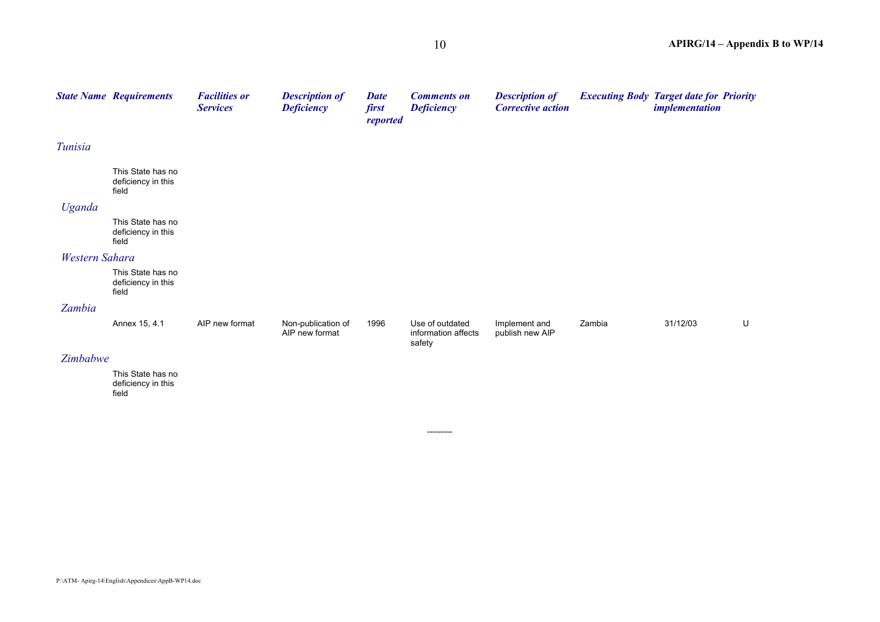|                | <b>State Name Requirements</b>                   | <b>Facilities or</b><br><b>Services</b> | <b>Description of</b><br><b>Deficiency</b> | <b>Date</b><br>first<br>reported | <b>Comments on</b><br><b>Deficiency</b>          | <b>Description of</b><br><b>Corrective action</b> | <b>Executing Body Target date for Priority</b> | <i>implementation</i> |   |
|----------------|--------------------------------------------------|-----------------------------------------|--------------------------------------------|----------------------------------|--------------------------------------------------|---------------------------------------------------|------------------------------------------------|-----------------------|---|
| Tunisia        |                                                  |                                         |                                            |                                  |                                                  |                                                   |                                                |                       |   |
|                | This State has no<br>deficiency in this<br>field |                                         |                                            |                                  |                                                  |                                                   |                                                |                       |   |
| Uganda         |                                                  |                                         |                                            |                                  |                                                  |                                                   |                                                |                       |   |
|                | This State has no<br>deficiency in this<br>field |                                         |                                            |                                  |                                                  |                                                   |                                                |                       |   |
| Western Sahara |                                                  |                                         |                                            |                                  |                                                  |                                                   |                                                |                       |   |
|                | This State has no<br>deficiency in this<br>field |                                         |                                            |                                  |                                                  |                                                   |                                                |                       |   |
| Zambia         |                                                  |                                         |                                            |                                  |                                                  |                                                   |                                                |                       |   |
|                | Annex 15, 4.1                                    | AIP new format                          | Non-publication of<br>AIP new format       | 1996                             | Use of outdated<br>information affects<br>safety | Implement and<br>publish new AIP                  | Zambia                                         | 31/12/03              | U |
| Zimbabwe       |                                                  |                                         |                                            |                                  |                                                  |                                                   |                                                |                       |   |
|                | This State has no<br>deficiency in this<br>field |                                         |                                            |                                  |                                                  |                                                   |                                                |                       |   |

---------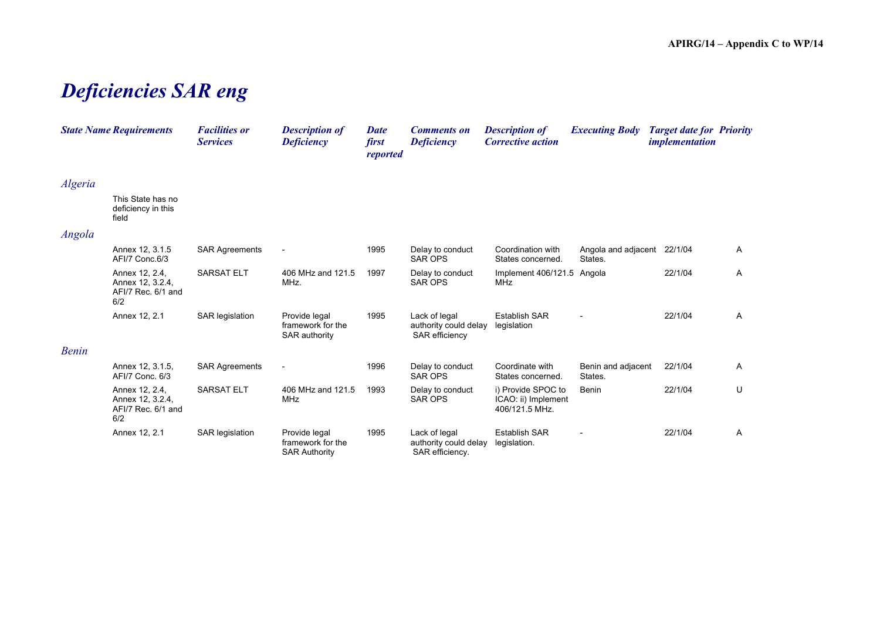## *Deficiencies SAR eng*

|              | <b>State Name Requirements</b>                                  | <b>Facilities or</b><br><b>Services</b> | <b>Description of</b><br><b>Deficiency</b>                 | <b>Date</b><br>first<br>reported | <b>Comments on</b><br><b>Deficiency</b>                   | <b>Description of</b><br><b>Corrective action</b>           | <b>Executing Body</b>                  | <b>Target date for Priority</b><br><i>implementation</i> |   |
|--------------|-----------------------------------------------------------------|-----------------------------------------|------------------------------------------------------------|----------------------------------|-----------------------------------------------------------|-------------------------------------------------------------|----------------------------------------|----------------------------------------------------------|---|
| Algeria      |                                                                 |                                         |                                                            |                                  |                                                           |                                                             |                                        |                                                          |   |
|              | This State has no<br>deficiency in this<br>field                |                                         |                                                            |                                  |                                                           |                                                             |                                        |                                                          |   |
| Angola       |                                                                 |                                         |                                                            |                                  |                                                           |                                                             |                                        |                                                          |   |
|              | Annex 12, 3.1.5<br>AFI/7 Conc.6/3                               | <b>SAR Agreements</b>                   |                                                            | 1995                             | Delay to conduct<br><b>SAR OPS</b>                        | Coordination with<br>States concerned.                      | Angola and adjacent 22/1/04<br>States. |                                                          | A |
|              | Annex 12, 2.4,<br>Annex 12, 3.2.4,<br>AFI/7 Rec. 6/1 and<br>6/2 | <b>SARSAT ELT</b>                       | 406 MHz and 121.5<br>MHz.                                  | 1997                             | Delay to conduct<br><b>SAR OPS</b>                        | Implement 406/121.5 Angola<br><b>MHz</b>                    |                                        | 22/1/04                                                  | A |
|              | Annex 12, 2.1                                                   | SAR legislation                         | Provide legal<br>framework for the<br>SAR authority        | 1995                             | Lack of legal<br>authority could delay<br>SAR efficiency  | <b>Establish SAR</b><br>legislation                         |                                        | 22/1/04                                                  | A |
| <b>Benin</b> |                                                                 |                                         |                                                            |                                  |                                                           |                                                             |                                        |                                                          |   |
|              | Annex 12, 3.1.5,<br>AFI/7 Conc. 6/3                             | <b>SAR Agreements</b>                   |                                                            | 1996                             | Delay to conduct<br><b>SAR OPS</b>                        | Coordinate with<br>States concerned.                        | Benin and adjacent<br>States.          | 22/1/04                                                  | Α |
|              | Annex 12, 2.4,<br>Annex 12, 3.2.4,<br>AFI/7 Rec. 6/1 and<br>6/2 | <b>SARSAT ELT</b>                       | 406 MHz and 121.5<br>MHz                                   | 1993                             | Delay to conduct<br>SAR OPS                               | i) Provide SPOC to<br>ICAO: ii) Implement<br>406/121.5 MHz. | Benin                                  | 22/1/04                                                  | U |
|              | Annex 12, 2.1                                                   | <b>SAR legislation</b>                  | Provide legal<br>framework for the<br><b>SAR Authority</b> | 1995                             | Lack of legal<br>authority could delay<br>SAR efficiency. | <b>Establish SAR</b><br>legislation.                        |                                        | 22/1/04                                                  | Α |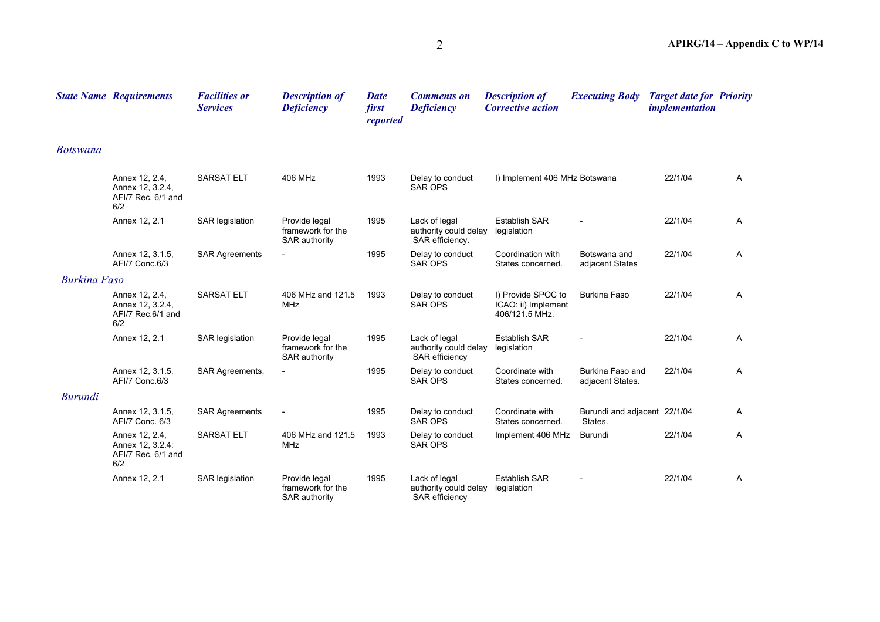|                     | <b>State Name Requirements</b>                                  | <b>Facilities or</b><br><b>Services</b> | <b>Description of</b><br><b>Deficiency</b>          | <b>Date</b><br>first<br>reported | <b>Comments on</b><br><b>Deficiency</b>                   | <b>Description of</b><br><b>Corrective action</b>           | <b>Executing Body</b>                   | <b>Target date for Priority</b><br><i>implementation</i> |   |
|---------------------|-----------------------------------------------------------------|-----------------------------------------|-----------------------------------------------------|----------------------------------|-----------------------------------------------------------|-------------------------------------------------------------|-----------------------------------------|----------------------------------------------------------|---|
| <b>Botswana</b>     |                                                                 |                                         |                                                     |                                  |                                                           |                                                             |                                         |                                                          |   |
|                     | Annex 12, 2.4,<br>Annex 12, 3.2.4,<br>AFI/7 Rec. 6/1 and<br>6/2 | <b>SARSAT ELT</b>                       | 406 MHz                                             | 1993                             | Delay to conduct<br><b>SAR OPS</b>                        | I) Implement 406 MHz Botswana                               |                                         | 22/1/04                                                  | Α |
|                     | Annex 12, 2.1                                                   | SAR legislation                         | Provide legal<br>framework for the<br>SAR authority | 1995                             | Lack of legal<br>authority could delay<br>SAR efficiency. | <b>Establish SAR</b><br>legislation                         |                                         | 22/1/04                                                  | Α |
|                     | Annex 12, 3.1.5,<br>AFI/7 Conc.6/3                              | <b>SAR Agreements</b>                   |                                                     | 1995                             | Delay to conduct<br><b>SAR OPS</b>                        | Coordination with<br>States concerned.                      | Botswana and<br>adjacent States         | 22/1/04                                                  | Α |
| <b>Burkina Faso</b> |                                                                 |                                         |                                                     |                                  |                                                           |                                                             |                                         |                                                          |   |
|                     | Annex 12, 2.4,<br>Annex 12, 3.2.4,<br>AFI/7 Rec.6/1 and<br>6/2  | <b>SARSAT ELT</b>                       | 406 MHz and 121.5<br>MHz                            | 1993                             | Delay to conduct<br><b>SAR OPS</b>                        | I) Provide SPOC to<br>ICAO: ii) Implement<br>406/121.5 MHz. | <b>Burkina Faso</b>                     | 22/1/04                                                  | A |
|                     | Annex 12, 2.1                                                   | SAR legislation                         | Provide legal<br>framework for the<br>SAR authority | 1995                             | Lack of legal<br>authority could delay<br>SAR efficiency  | <b>Establish SAR</b><br>legislation                         |                                         | 22/1/04                                                  | Α |
|                     | Annex 12, 3.1.5,<br>AFI/7 Conc.6/3                              | SAR Agreements.                         |                                                     | 1995                             | Delay to conduct<br><b>SAR OPS</b>                        | Coordinate with<br>States concerned.                        | Burkina Faso and<br>adjacent States.    | 22/1/04                                                  | Α |
| <b>Burundi</b>      |                                                                 |                                         |                                                     |                                  |                                                           |                                                             |                                         |                                                          |   |
|                     | Annex 12, 3.1.5,<br>AFI/7 Conc. 6/3                             | <b>SAR Agreements</b>                   | $\blacksquare$                                      | 1995                             | Delay to conduct<br><b>SAR OPS</b>                        | Coordinate with<br>States concerned.                        | Burundi and adjacent 22/1/04<br>States. |                                                          | Α |
|                     | Annex 12, 2.4,<br>Annex 12, 3.2.4:<br>AFI/7 Rec. 6/1 and<br>6/2 | <b>SARSAT ELT</b>                       | 406 MHz and 121.5<br><b>MHz</b>                     | 1993                             | Delay to conduct<br><b>SAR OPS</b>                        | Implement 406 MHz                                           | Burundi                                 | 22/1/04                                                  | Α |
|                     | Annex 12, 2.1                                                   | SAR legislation                         | Provide legal<br>framework for the<br>SAR authority | 1995                             | Lack of legal<br>authority could delay<br>SAR efficiency  | <b>Establish SAR</b><br>legislation                         |                                         | 22/1/04                                                  | Α |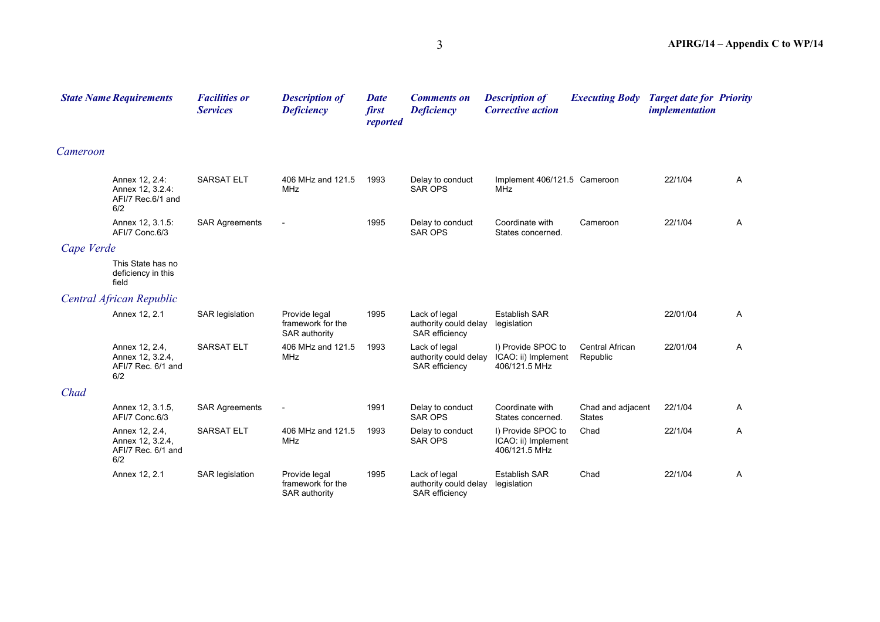|            | <b>State Name Requirements</b>                                  | <b>Facilities or</b><br><b>Services</b> | <b>Description of</b><br><b>Deficiency</b>          | <b>Date</b><br>first<br>reported | <b>Comments on</b><br><b>Deficiency</b>                  | <b>Description of</b><br><b>Corrective action</b>          | <b>Executing Body</b>              | <b>Target date for Priority</b><br><i>implementation</i> |   |
|------------|-----------------------------------------------------------------|-----------------------------------------|-----------------------------------------------------|----------------------------------|----------------------------------------------------------|------------------------------------------------------------|------------------------------------|----------------------------------------------------------|---|
| Cameroon   |                                                                 |                                         |                                                     |                                  |                                                          |                                                            |                                    |                                                          |   |
|            | Annex 12, 2.4:<br>Annex 12, 3.2.4:<br>AFI/7 Rec.6/1 and<br>6/2  | <b>SARSAT ELT</b>                       | 406 MHz and 121.5<br><b>MHz</b>                     | 1993                             | Delay to conduct<br><b>SAR OPS</b>                       | Implement 406/121.5 Cameroon<br><b>MHz</b>                 |                                    | 22/1/04                                                  | A |
|            | Annex 12, 3.1.5:<br>AFI/7 Conc.6/3                              | <b>SAR Agreements</b>                   |                                                     | 1995                             | Delay to conduct<br><b>SAR OPS</b>                       | Coordinate with<br>States concerned.                       | Cameroon                           | 22/1/04                                                  | A |
| Cape Verde |                                                                 |                                         |                                                     |                                  |                                                          |                                                            |                                    |                                                          |   |
|            | This State has no<br>deficiency in this<br>field                |                                         |                                                     |                                  |                                                          |                                                            |                                    |                                                          |   |
|            | Central African Republic                                        |                                         |                                                     |                                  |                                                          |                                                            |                                    |                                                          |   |
|            | Annex 12, 2.1                                                   | SAR legislation                         | Provide legal<br>framework for the<br>SAR authority | 1995                             | Lack of legal<br>authority could delay<br>SAR efficiency | <b>Establish SAR</b><br>legislation                        |                                    | 22/01/04                                                 | A |
|            | Annex 12, 2.4,<br>Annex 12, 3.2.4,<br>AFI/7 Rec. 6/1 and<br>6/2 | <b>SARSAT ELT</b>                       | 406 MHz and 121.5<br><b>MHz</b>                     | 1993                             | Lack of legal<br>authority could delay<br>SAR efficiency | I) Provide SPOC to<br>ICAO: ii) Implement<br>406/121.5 MHz | <b>Central African</b><br>Republic | 22/01/04                                                 | A |
| Chad       |                                                                 |                                         |                                                     |                                  |                                                          |                                                            |                                    |                                                          |   |
|            | Annex 12, 3.1.5,<br>AFI/7 Conc.6/3                              | <b>SAR Agreements</b>                   | $\overline{\phantom{a}}$                            | 1991                             | Delay to conduct<br><b>SAR OPS</b>                       | Coordinate with<br>States concerned.                       | Chad and adjacent<br><b>States</b> | 22/1/04                                                  | A |
|            | Annex 12, 2.4,<br>Annex 12, 3.2.4,<br>AFI/7 Rec. 6/1 and<br>6/2 | <b>SARSAT ELT</b>                       | 406 MHz and 121.5<br>MHz                            | 1993                             | Delay to conduct<br><b>SAR OPS</b>                       | I) Provide SPOC to<br>ICAO: ii) Implement<br>406/121.5 MHz | Chad                               | 22/1/04                                                  | A |
|            | Annex 12, 2.1                                                   | <b>SAR</b> legislation                  | Provide legal<br>framework for the<br>SAR authority | 1995                             | Lack of legal<br>authority could delay<br>SAR efficiency | <b>Establish SAR</b><br>legislation                        | Chad                               | 22/1/04                                                  | Α |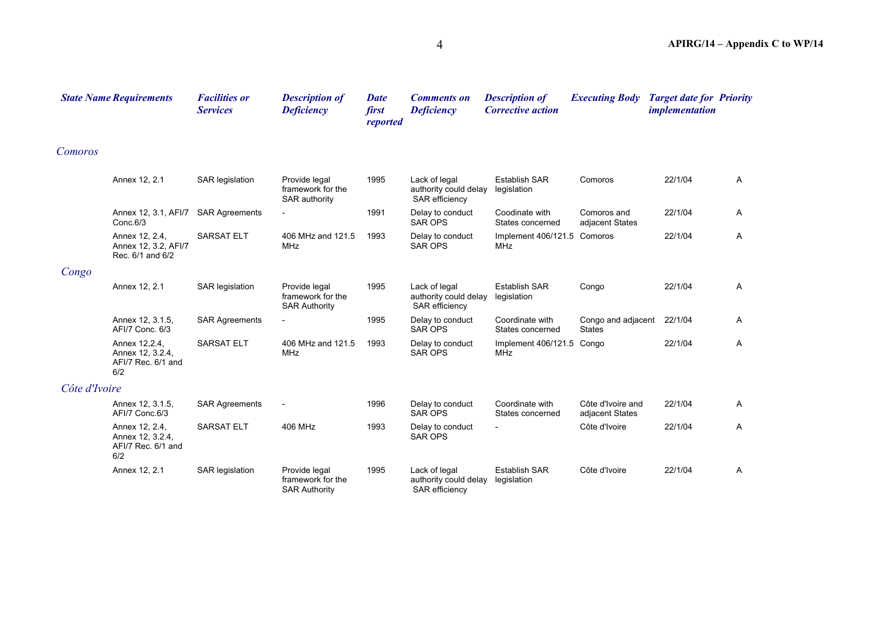|               | <b>State Name Requirements</b>                                  | <b>Facilities or</b><br><b>Services</b> | <b>Description of</b><br><b>Deficiency</b>                 | <b>Date</b><br>first<br>reported | <b>Comments on</b><br><b>Deficiency</b>                         | <b>Description of</b><br><b>Corrective action</b> | <b>Executing Body</b>                | <b>Target date for Priority</b><br><i>implementation</i> |              |
|---------------|-----------------------------------------------------------------|-----------------------------------------|------------------------------------------------------------|----------------------------------|-----------------------------------------------------------------|---------------------------------------------------|--------------------------------------|----------------------------------------------------------|--------------|
| Comoros       |                                                                 |                                         |                                                            |                                  |                                                                 |                                                   |                                      |                                                          |              |
|               | Annex 12, 2.1                                                   | <b>SAR</b> legislation                  | Provide legal<br>framework for the<br>SAR authority        | 1995                             | Lack of legal<br>authority could delay<br>SAR efficiency        | <b>Establish SAR</b><br>legislation               | Comoros                              | 22/1/04                                                  | A            |
|               | Annex 12, 3.1, AFI/7<br>Conc.6/3                                | <b>SAR Agreements</b>                   | $\overline{\phantom{a}}$                                   | 1991                             | Delay to conduct<br><b>SAR OPS</b>                              | Coodinate with<br>States concerned                | Comoros and<br>adjacent States       | 22/1/04                                                  | Α            |
|               | Annex 12, 2.4,<br>Annex 12, 3.2, AFI/7<br>Rec. 6/1 and 6/2      | <b>SARSAT ELT</b>                       | 406 MHz and 121.5<br><b>MHz</b>                            | 1993                             | Delay to conduct<br><b>SAR OPS</b>                              | Implement 406/121.5 Comoros<br><b>MHz</b>         |                                      | 22/1/04                                                  | A            |
| Congo         |                                                                 |                                         |                                                            |                                  |                                                                 |                                                   |                                      |                                                          |              |
|               | Annex 12, 2.1                                                   | SAR legislation                         | Provide legal<br>framework for the<br><b>SAR Authority</b> | 1995                             | Lack of legal<br>authority could delay<br><b>SAR</b> efficiency | <b>Establish SAR</b><br>legislation               | Congo                                | 22/1/04                                                  | A            |
|               | Annex 12, 3.1.5,<br>AFI/7 Conc. 6/3                             | <b>SAR Agreements</b>                   |                                                            | 1995                             | Delay to conduct<br><b>SAR OPS</b>                              | Coordinate with<br>States concerned               | Congo and adjacent<br><b>States</b>  | 22/1/04                                                  | A            |
|               | Annex 12, 2.4,<br>Annex 12, 3.2.4,<br>AFI/7 Rec. 6/1 and<br>6/2 | <b>SARSAT ELT</b>                       | 406 MHz and 121.5<br><b>MHz</b>                            | 1993                             | Delay to conduct<br><b>SAR OPS</b>                              | Implement 406/121.5<br><b>MHz</b>                 | Congo                                | 22/1/04                                                  | Α            |
| Côte d'Ivoire |                                                                 |                                         |                                                            |                                  |                                                                 |                                                   |                                      |                                                          |              |
|               | Annex 12, 3.1.5,<br>AFI/7 Conc.6/3                              | <b>SAR Agreements</b>                   | $\overline{\phantom{a}}$                                   | 1996                             | Delay to conduct<br><b>SAR OPS</b>                              | Coordinate with<br>States concerned               | Côte d'Ivoire and<br>adjacent States | 22/1/04                                                  | $\mathsf{A}$ |
|               | Annex 12, 2.4,<br>Annex 12, 3.2.4,<br>AFI/7 Rec. 6/1 and<br>6/2 | <b>SARSAT ELT</b>                       | 406 MHz                                                    | 1993                             | Delay to conduct<br><b>SAR OPS</b>                              | $\overline{\phantom{a}}$                          | Côte d'Ivoire                        | 22/1/04                                                  | A            |
|               | Annex 12, 2.1                                                   | <b>SAR legislation</b>                  | Provide legal<br>framework for the<br><b>SAR Authority</b> | 1995                             | Lack of legal<br>authority could delay<br>SAR efficiency        | <b>Establish SAR</b><br>legislation               | Côte d'Ivoire                        | 22/1/04                                                  | Α            |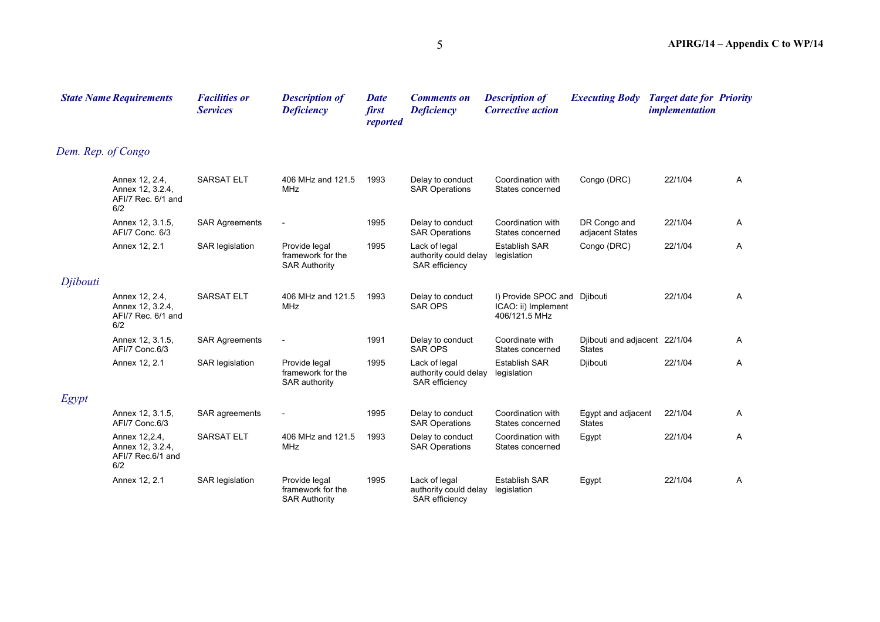|                    | <b>State Name Requirements</b>                                  | <b>Facilities or</b><br><b>Services</b> | <b>Description of</b><br><b>Deficiency</b>                 | <b>Date</b><br>first<br>reported | <b>Comments on</b><br><b>Deficiency</b>                         | <b>Description of</b><br><b>Corrective action</b>                    | <b>Executing Body</b>                          | <b>Target date for Priority</b><br><i>implementation</i> |   |
|--------------------|-----------------------------------------------------------------|-----------------------------------------|------------------------------------------------------------|----------------------------------|-----------------------------------------------------------------|----------------------------------------------------------------------|------------------------------------------------|----------------------------------------------------------|---|
| Dem. Rep. of Congo |                                                                 |                                         |                                                            |                                  |                                                                 |                                                                      |                                                |                                                          |   |
|                    | Annex 12, 2.4,<br>Annex 12, 3.2.4,<br>AFI/7 Rec. 6/1 and<br>6/2 | SARSAT ELT                              | 406 MHz and 121.5<br><b>MHz</b>                            | 1993                             | Delay to conduct<br><b>SAR Operations</b>                       | Coordination with<br>States concerned                                | Congo (DRC)                                    | 22/1/04                                                  | A |
|                    | Annex 12, 3.1.5,<br>AFI/7 Conc. 6/3                             | <b>SAR Agreements</b>                   |                                                            | 1995                             | Delay to conduct<br><b>SAR Operations</b>                       | Coordination with<br>States concerned                                | DR Congo and<br>adjacent States                | 22/1/04                                                  | Α |
|                    | Annex 12, 2.1                                                   | SAR legislation                         | Provide legal<br>framework for the<br><b>SAR Authority</b> | 1995                             | Lack of legal<br>authority could delay<br>SAR efficiency        | <b>Establish SAR</b><br>legislation                                  | Congo (DRC)                                    | 22/1/04                                                  | Α |
| Djibouti           |                                                                 |                                         |                                                            |                                  |                                                                 |                                                                      |                                                |                                                          |   |
|                    | Annex 12, 2.4,<br>Annex 12, 3.2.4,<br>AFI/7 Rec. 6/1 and<br>6/2 | <b>SARSAT ELT</b>                       | 406 MHz and 121.5<br><b>MHz</b>                            | 1993                             | Delay to conduct<br><b>SAR OPS</b>                              | I) Provide SPOC and Djibouti<br>ICAO: ii) Implement<br>406/121.5 MHz |                                                | 22/1/04                                                  | Α |
|                    | Annex 12, 3.1.5,<br>AFI/7 Conc.6/3                              | <b>SAR Agreements</b>                   |                                                            | 1991                             | Delay to conduct<br><b>SAR OPS</b>                              | Coordinate with<br>States concerned                                  | Djibouti and adjacent 22/1/04<br><b>States</b> |                                                          | Α |
|                    | Annex 12, 2.1                                                   | SAR legislation                         | Provide legal<br>framework for the<br>SAR authority        | 1995                             | Lack of legal<br>authority could delay<br><b>SAR</b> efficiency | <b>Establish SAR</b><br>legislation                                  | Djibouti                                       | 22/1/04                                                  | Α |
| Egypt              |                                                                 |                                         |                                                            |                                  |                                                                 |                                                                      |                                                |                                                          |   |
|                    | Annex 12, 3.1.5,<br>AFI/7 Conc.6/3                              | SAR agreements                          | $\overline{\phantom{a}}$                                   | 1995                             | Delay to conduct<br><b>SAR Operations</b>                       | Coordination with<br>States concerned                                | Egypt and adjacent<br><b>States</b>            | 22/1/04                                                  | Α |
|                    | Annex 12,2.4,<br>Annex 12, 3.2.4,<br>AFI/7 Rec.6/1 and<br>6/2   | SARSAT ELT                              | 406 MHz and 121.5<br><b>MHz</b>                            | 1993                             | Delay to conduct<br><b>SAR Operations</b>                       | Coordination with<br>States concerned                                | Egypt                                          | 22/1/04                                                  | Α |
|                    | Annex 12, 2.1                                                   | <b>SAR</b> legislation                  | Provide legal<br>framework for the<br><b>SAR Authority</b> | 1995                             | Lack of legal<br>authority could delay<br>SAR efficiency        | Establish SAR<br>legislation                                         | Egypt                                          | 22/1/04                                                  | Α |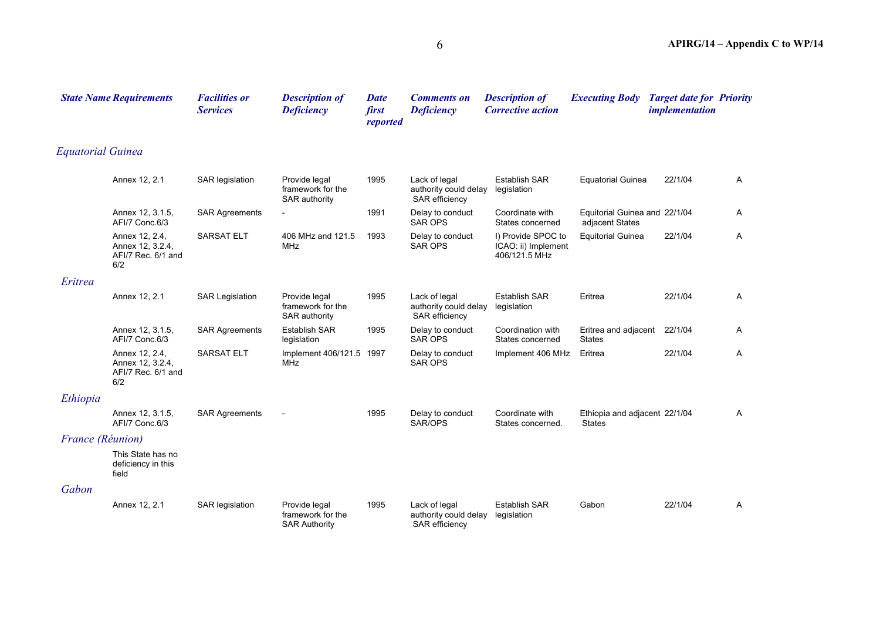|                          | <b>State Name Requirements</b>                                  | <b>Facilities or</b><br><b>Services</b> | <b>Description of</b><br><b>Deficiency</b>                 | <b>Date</b><br>first<br>reported | <b>Comments on</b><br><b>Deficiency</b>                         | <b>Description of</b><br><b>Corrective action</b>          | <b>Executing Body</b>                            | <b>Target date for Priority</b><br><i>implementation</i> |   |
|--------------------------|-----------------------------------------------------------------|-----------------------------------------|------------------------------------------------------------|----------------------------------|-----------------------------------------------------------------|------------------------------------------------------------|--------------------------------------------------|----------------------------------------------------------|---|
| <b>Equatorial Guinea</b> |                                                                 |                                         |                                                            |                                  |                                                                 |                                                            |                                                  |                                                          |   |
|                          | Annex 12, 2.1                                                   | SAR legislation                         | Provide legal<br>framework for the<br><b>SAR authority</b> | 1995                             | Lack of legal<br>authority could delay<br><b>SAR efficiency</b> | <b>Establish SAR</b><br>legislation                        | <b>Equatorial Guinea</b>                         | 22/1/04                                                  | A |
|                          | Annex 12, 3.1.5,<br>AFI/7 Conc.6/3                              | <b>SAR Agreements</b>                   |                                                            | 1991                             | Delay to conduct<br><b>SAR OPS</b>                              | Coordinate with<br>States concerned                        | Equitorial Guinea and 22/1/04<br>adjacent States |                                                          | A |
|                          | Annex 12, 2.4,<br>Annex 12, 3.2.4,<br>AFI/7 Rec. 6/1 and<br>6/2 | <b>SARSAT ELT</b>                       | 406 MHz and 121.5<br><b>MHz</b>                            | 1993                             | Delay to conduct<br><b>SAR OPS</b>                              | I) Provide SPOC to<br>ICAO: ii) Implement<br>406/121.5 MHz | <b>Equitorial Guinea</b>                         | 22/1/04                                                  | A |
| Eritrea                  |                                                                 |                                         |                                                            |                                  |                                                                 |                                                            |                                                  |                                                          |   |
|                          | Annex 12, 2.1                                                   | <b>SAR Legislation</b>                  | Provide legal<br>framework for the<br>SAR authority        | 1995                             | Lack of legal<br>authority could delay<br>SAR efficiency        | <b>Establish SAR</b><br>legislation                        | Eritrea                                          | 22/1/04                                                  | A |
|                          | Annex 12, 3.1.5,<br>AFI/7 Conc.6/3                              | <b>SAR Agreements</b>                   | <b>Establish SAR</b><br>legislation                        | 1995                             | Delay to conduct<br><b>SAR OPS</b>                              | Coordination with<br>States concerned                      | Eritrea and adjacent<br><b>States</b>            | 22/1/04                                                  | A |
|                          | Annex 12, 2.4,<br>Annex 12, 3.2.4,<br>AFI/7 Rec. 6/1 and<br>6/2 | <b>SARSAT ELT</b>                       | Implement 406/121.5 1997<br><b>MHz</b>                     |                                  | Delay to conduct<br><b>SAR OPS</b>                              | Implement 406 MHz                                          | Eritrea                                          | 22/1/04                                                  | A |
| Ethiopia                 |                                                                 |                                         |                                                            |                                  |                                                                 |                                                            |                                                  |                                                          |   |
|                          | Annex 12, 3.1.5,<br>AFI/7 Conc.6/3                              | <b>SAR Agreements</b>                   |                                                            | 1995                             | Delay to conduct<br>SAR/OPS                                     | Coordinate with<br>States concerned.                       | Ethiopia and adjacent 22/1/04<br><b>States</b>   |                                                          | A |
| France (Réunion)         |                                                                 |                                         |                                                            |                                  |                                                                 |                                                            |                                                  |                                                          |   |
|                          | This State has no<br>deficiency in this<br>field                |                                         |                                                            |                                  |                                                                 |                                                            |                                                  |                                                          |   |
| Gabon                    |                                                                 |                                         |                                                            |                                  |                                                                 |                                                            |                                                  |                                                          |   |
|                          | Annex 12, 2.1                                                   | SAR legislation                         | Provide legal<br>framework for the<br><b>SAR Authority</b> | 1995                             | Lack of legal<br>authority could delay<br><b>SAR</b> efficiency | <b>Establish SAR</b><br>legislation                        | Gabon                                            | 22/1/04                                                  | A |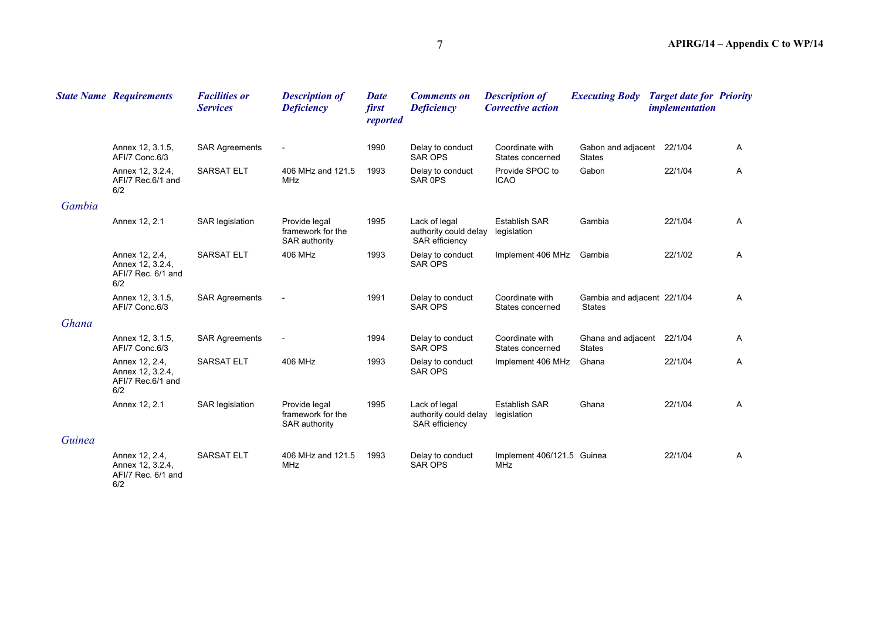|        | <b>State Name Requirements</b>                                  | <b>Facilities or</b><br><b>Services</b> | <b>Description of</b><br><b>Deficiency</b>          | <b>Date</b><br>first<br>reported | <b>Comments on</b><br><b>Deficiency</b>                         | <b>Description of</b><br><b>Corrective action</b> | <b>Executing Body</b>                        | <b>Target date for Priority</b><br><i>implementation</i> |   |
|--------|-----------------------------------------------------------------|-----------------------------------------|-----------------------------------------------------|----------------------------------|-----------------------------------------------------------------|---------------------------------------------------|----------------------------------------------|----------------------------------------------------------|---|
|        | Annex 12, 3.1.5,<br>AFI/7 Conc.6/3                              | <b>SAR Agreements</b>                   | $\overline{\phantom{a}}$                            | 1990                             | Delay to conduct<br><b>SAR OPS</b>                              | Coordinate with<br>States concerned               | Gabon and adjacent 22/1/04<br><b>States</b>  |                                                          | A |
|        | Annex 12, 3.2.4,<br>AFI/7 Rec.6/1 and<br>6/2                    | <b>SARSAT ELT</b>                       | 406 MHz and 121.5<br>MHz                            | 1993                             | Delay to conduct<br>SAR <sub>OPS</sub>                          | Provide SPOC to<br><b>ICAO</b>                    | Gabon                                        | 22/1/04                                                  | A |
| Gambia |                                                                 |                                         |                                                     |                                  |                                                                 |                                                   |                                              |                                                          |   |
|        | Annex 12, 2.1                                                   | <b>SAR</b> legislation                  | Provide legal<br>framework for the<br>SAR authority | 1995                             | Lack of legal<br>authority could delay<br><b>SAR</b> efficiency | <b>Establish SAR</b><br>legislation               | Gambia                                       | 22/1/04                                                  | Α |
|        | Annex 12, 2.4,<br>Annex 12, 3.2.4,<br>AFI/7 Rec. 6/1 and<br>6/2 | <b>SARSAT ELT</b>                       | 406 MHz                                             | 1993                             | Delay to conduct<br><b>SAR OPS</b>                              | Implement 406 MHz                                 | Gambia                                       | 22/1/02                                                  | A |
|        | Annex 12, 3.1.5,<br>AFI/7 Conc.6/3                              | <b>SAR Agreements</b>                   |                                                     | 1991                             | Delay to conduct<br><b>SAR OPS</b>                              | Coordinate with<br>States concerned               | Gambia and adjacent 22/1/04<br><b>States</b> |                                                          | A |
| Ghana  |                                                                 |                                         |                                                     |                                  |                                                                 |                                                   |                                              |                                                          |   |
|        | Annex 12, 3.1.5,<br>AFI/7 Conc.6/3                              | <b>SAR Agreements</b>                   | $\blacksquare$                                      | 1994                             | Delay to conduct<br><b>SAR OPS</b>                              | Coordinate with<br>States concerned               | Ghana and adjacent 22/1/04<br><b>States</b>  |                                                          | A |
|        | Annex 12, 2.4,<br>Annex 12, 3.2.4,<br>AFI/7 Rec.6/1 and<br>6/2  | <b>SARSAT ELT</b>                       | 406 MHz                                             | 1993                             | Delay to conduct<br><b>SAR OPS</b>                              | Implement 406 MHz                                 | Ghana                                        | 22/1/04                                                  | A |
|        | Annex 12, 2.1                                                   | SAR legislation                         | Provide legal<br>framework for the<br>SAR authority | 1995                             | Lack of legal<br>authority could delay<br>SAR efficiency        | <b>Establish SAR</b><br>legislation               | Ghana                                        | 22/1/04                                                  | A |
| Guinea |                                                                 |                                         |                                                     |                                  |                                                                 |                                                   |                                              |                                                          |   |
|        | Annex 12, 2.4,<br>Annex 12, 3.2.4,<br>AFI/7 Rec. 6/1 and<br>6/2 | <b>SARSAT ELT</b>                       | 406 MHz and 121.5<br>MHz                            | 1993                             | Delay to conduct<br><b>SAR OPS</b>                              | Implement 406/121.5 Guinea<br>MHz                 |                                              | 22/1/04                                                  | Α |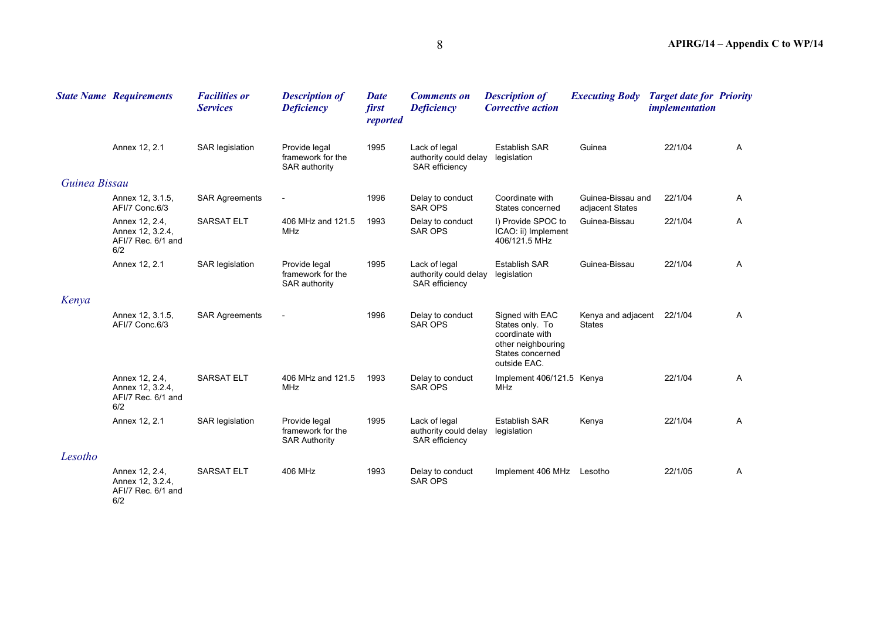|               | <b>State Name Requirements</b>                                  | <b>Facilities or</b><br><b>Services</b> | <b>Description of</b><br><b>Deficiency</b>                 | <b>Date</b><br>first<br>reported | <b>Comments on</b><br><b>Deficiency</b>                  | <b>Description of</b><br><b>Corrective action</b>                                                               | <b>Executing Body</b>                | <b>Target date for Priority</b><br><i>implementation</i> |              |
|---------------|-----------------------------------------------------------------|-----------------------------------------|------------------------------------------------------------|----------------------------------|----------------------------------------------------------|-----------------------------------------------------------------------------------------------------------------|--------------------------------------|----------------------------------------------------------|--------------|
|               | Annex 12, 2.1                                                   | SAR legislation                         | Provide legal<br>framework for the<br>SAR authority        | 1995                             | Lack of legal<br>authority could delay<br>SAR efficiency | <b>Establish SAR</b><br>legislation                                                                             | Guinea                               | 22/1/04                                                  | $\mathsf{A}$ |
| Guinea Bissau |                                                                 |                                         |                                                            |                                  |                                                          |                                                                                                                 |                                      |                                                          |              |
|               | Annex 12, 3.1.5,<br>AFI/7 Conc.6/3                              | <b>SAR Agreements</b>                   | $\overline{\phantom{a}}$                                   | 1996                             | Delay to conduct<br><b>SAR OPS</b>                       | Coordinate with<br>States concerned                                                                             | Guinea-Bissau and<br>adjacent States | 22/1/04                                                  | A            |
|               | Annex 12, 2.4,<br>Annex 12, 3.2.4,<br>AFI/7 Rec. 6/1 and<br>6/2 | <b>SARSAT ELT</b>                       | 406 MHz and 121.5<br><b>MHz</b>                            | 1993                             | Delay to conduct<br>SAR OPS                              | I) Provide SPOC to<br>ICAO: ii) Implement<br>406/121.5 MHz                                                      | Guinea-Bissau                        | 22/1/04                                                  | A            |
|               | Annex 12, 2.1                                                   | SAR legislation                         | Provide legal<br>framework for the<br>SAR authority        | 1995                             | Lack of legal<br>authority could delay<br>SAR efficiency | <b>Establish SAR</b><br>legislation                                                                             | Guinea-Bissau                        | 22/1/04                                                  | $\mathsf{A}$ |
| Kenya         |                                                                 |                                         |                                                            |                                  |                                                          |                                                                                                                 |                                      |                                                          |              |
|               | Annex 12, 3.1.5,<br>AFI/7 Conc.6/3                              | <b>SAR Agreements</b>                   | $\qquad \qquad \blacksquare$                               | 1996                             | Delay to conduct<br><b>SAR OPS</b>                       | Signed with EAC<br>States only. To<br>coordinate with<br>other neighbouring<br>States concerned<br>outside EAC. | Kenya and adjacent<br><b>States</b>  | 22/1/04                                                  | A            |
|               | Annex 12, 2.4,<br>Annex 12, 3.2.4,<br>AFI/7 Rec. 6/1 and<br>6/2 | <b>SARSAT ELT</b>                       | 406 MHz and 121.5<br>MHz                                   | 1993                             | Delay to conduct<br><b>SAR OPS</b>                       | Implement 406/121.5 Kenya<br>MHz                                                                                |                                      | 22/1/04                                                  | $\mathsf{A}$ |
|               | Annex 12, 2.1                                                   | SAR legislation                         | Provide legal<br>framework for the<br><b>SAR Authority</b> | 1995                             | Lack of legal<br>authority could delay<br>SAR efficiency | <b>Establish SAR</b><br>legislation                                                                             | Kenya                                | 22/1/04                                                  | A            |
| Lesotho       |                                                                 |                                         |                                                            |                                  |                                                          |                                                                                                                 |                                      |                                                          |              |
|               | Annex 12, 2.4,<br>Annex 12, 3.2.4,<br>AFI/7 Rec. 6/1 and<br>6/2 | <b>SARSAT ELT</b>                       | 406 MHz                                                    | 1993                             | Delay to conduct<br><b>SAR OPS</b>                       | Implement 406 MHz                                                                                               | Lesotho                              | 22/1/05                                                  | A            |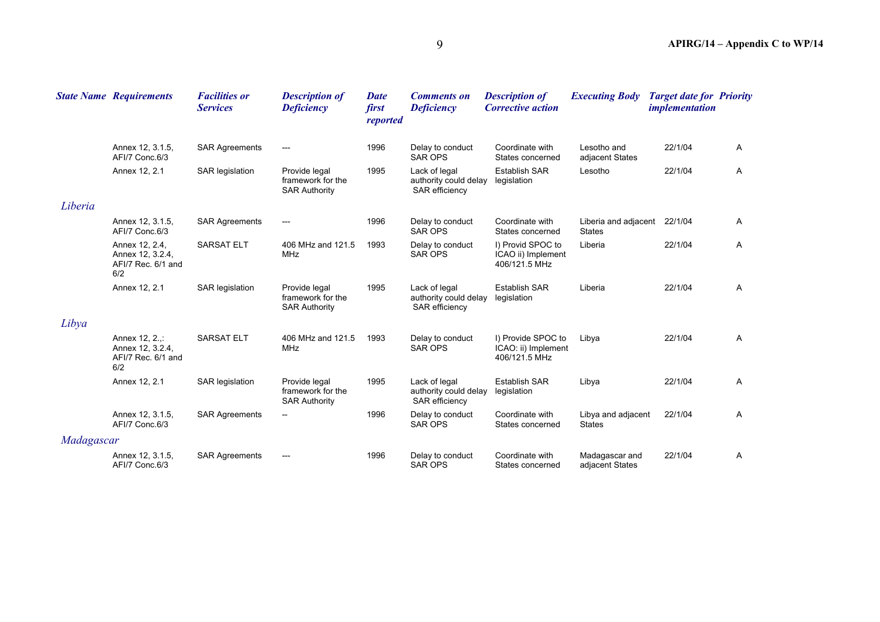|            | <b>State Name Requirements</b>                                  | <b>Facilities or</b><br><b>Services</b> | <b>Description of</b><br><b>Deficiency</b>                 | <b>Date</b><br>first<br>reported | <b>Comments on</b><br><b>Deficiency</b>                         | <b>Description of</b><br><b>Corrective action</b>          | <b>Executing Body</b>                         | <b>Target date for Priority</b><br><i>implementation</i> |   |
|------------|-----------------------------------------------------------------|-----------------------------------------|------------------------------------------------------------|----------------------------------|-----------------------------------------------------------------|------------------------------------------------------------|-----------------------------------------------|----------------------------------------------------------|---|
|            | Annex 12, 3.1.5,<br>AFI/7 Conc.6/3                              | <b>SAR Agreements</b>                   | ---                                                        | 1996                             | Delay to conduct<br><b>SAR OPS</b>                              | Coordinate with<br>States concerned                        | Lesotho and<br>adjacent States                | 22/1/04                                                  | Α |
|            | Annex 12, 2.1                                                   | <b>SAR</b> legislation                  | Provide legal<br>framework for the<br><b>SAR Authority</b> | 1995                             | Lack of legal<br>authority could delay<br>SAR efficiency        | <b>Establish SAR</b><br>legislation                        | Lesotho                                       | 22/1/04                                                  | Α |
| Liberia    |                                                                 |                                         |                                                            |                                  |                                                                 |                                                            |                                               |                                                          |   |
|            | Annex 12, 3.1.5,<br>AFI/7 Conc.6/3                              | <b>SAR Agreements</b>                   | ---                                                        | 1996                             | Delay to conduct<br><b>SAR OPS</b>                              | Coordinate with<br>States concerned                        | Liberia and adjacent 22/1/04<br><b>States</b> |                                                          | A |
|            | Annex 12, 2.4,<br>Annex 12, 3.2.4,<br>AFI/7 Rec. 6/1 and<br>6/2 | <b>SARSAT ELT</b>                       | 406 MHz and 121.5<br><b>MHz</b>                            | 1993                             | Delay to conduct<br><b>SAR OPS</b>                              | I) Provid SPOC to<br>ICAO ii) Implement<br>406/121.5 MHz   | Liberia                                       | 22/1/04                                                  | Α |
|            | Annex 12, 2.1                                                   | SAR legislation                         | Provide legal<br>framework for the<br><b>SAR Authority</b> | 1995                             | Lack of legal<br>authority could delay<br><b>SAR</b> efficiency | <b>Establish SAR</b><br>legislation                        | Liberia                                       | 22/1/04                                                  | Α |
| Libya      |                                                                 |                                         |                                                            |                                  |                                                                 |                                                            |                                               |                                                          |   |
|            | Annex 12, 2.,:<br>Annex 12, 3.2.4,<br>AFI/7 Rec. 6/1 and<br>6/2 | <b>SARSAT ELT</b>                       | 406 MHz and 121.5<br><b>MHz</b>                            | 1993                             | Delay to conduct<br><b>SAR OPS</b>                              | I) Provide SPOC to<br>ICAO: ii) Implement<br>406/121.5 MHz | Libya                                         | 22/1/04                                                  | A |
|            | Annex 12, 2.1                                                   | <b>SAR</b> legislation                  | Provide legal<br>framework for the<br><b>SAR Authority</b> | 1995                             | Lack of legal<br>authority could delay<br><b>SAR efficiency</b> | <b>Establish SAR</b><br>legislation                        | Libya                                         | 22/1/04                                                  | A |
|            | Annex 12, 3.1.5,<br>AFI/7 Conc.6/3                              | <b>SAR Agreements</b>                   | --                                                         | 1996                             | Delay to conduct<br>SAR OPS                                     | Coordinate with<br>States concerned                        | Libya and adjacent<br><b>States</b>           | 22/1/04                                                  | Α |
| Madagascar |                                                                 |                                         |                                                            |                                  |                                                                 |                                                            |                                               |                                                          |   |
|            | Annex 12, 3.1.5,<br>AFI/7 Conc.6/3                              | <b>SAR Agreements</b>                   |                                                            | 1996                             | Delay to conduct<br><b>SAR OPS</b>                              | Coordinate with<br>States concerned                        | Madagascar and<br>adjacent States             | 22/1/04                                                  | Α |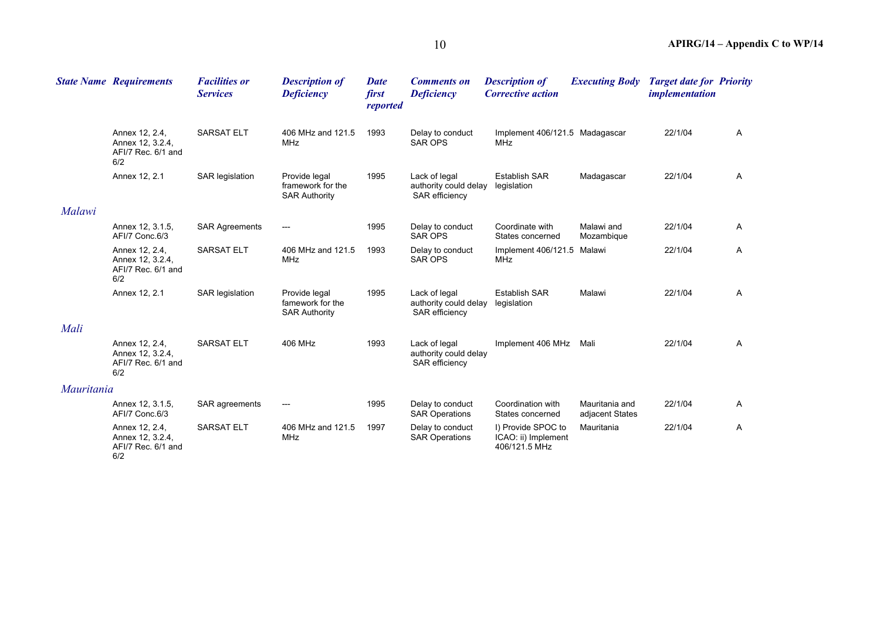|                   | <b>State Name Requirements</b>                                  | <b>Facilities or</b><br><b>Services</b> | <b>Description of</b><br><b>Deficiency</b>                 | <b>Date</b><br>first<br>reported | <b>Comments on</b><br><b>Deficiency</b>                  | <b>Description of</b><br><b>Corrective action</b>          | <b>Executing Body</b>             | <b>Target date for Priority</b><br><i>implementation</i> |              |
|-------------------|-----------------------------------------------------------------|-----------------------------------------|------------------------------------------------------------|----------------------------------|----------------------------------------------------------|------------------------------------------------------------|-----------------------------------|----------------------------------------------------------|--------------|
|                   | Annex 12, 2.4,<br>Annex 12, 3.2.4,<br>AFI/7 Rec. 6/1 and<br>6/2 | <b>SARSAT ELT</b>                       | 406 MHz and 121.5<br><b>MHz</b>                            | 1993                             | Delay to conduct<br>SAR OPS                              | Implement 406/121.5 Madagascar<br><b>MHz</b>               |                                   | 22/1/04                                                  | $\mathsf{A}$ |
|                   | Annex 12, 2.1                                                   | <b>SAR</b> legislation                  | Provide legal<br>framework for the<br><b>SAR Authority</b> | 1995                             | Lack of legal<br>authority could delay<br>SAR efficiency | <b>Establish SAR</b><br>legislation                        | Madagascar                        | 22/1/04                                                  | A            |
| Malawi            |                                                                 |                                         |                                                            |                                  |                                                          |                                                            |                                   |                                                          |              |
|                   | Annex 12, 3.1.5,<br>AFI/7 Conc.6/3                              | <b>SAR Agreements</b>                   | ---                                                        | 1995                             | Delay to conduct<br><b>SAR OPS</b>                       | Coordinate with<br>States concerned                        | Malawi and<br>Mozambique          | 22/1/04                                                  | $\mathsf{A}$ |
|                   | Annex 12, 2.4,<br>Annex 12, 3.2.4,<br>AFI/7 Rec. 6/1 and<br>6/2 | <b>SARSAT ELT</b>                       | 406 MHz and 121.5<br><b>MHz</b>                            | 1993                             | Delay to conduct<br><b>SAR OPS</b>                       | Implement 406/121.5 Malawi<br><b>MHz</b>                   |                                   | 22/1/04                                                  | A            |
|                   | Annex 12, 2.1                                                   | <b>SAR</b> legislation                  | Provide legal<br>famework for the<br><b>SAR Authority</b>  | 1995                             | Lack of legal<br>authority could delay<br>SAR efficiency | <b>Establish SAR</b><br>legislation                        | Malawi                            | 22/1/04                                                  | A            |
| Mali              |                                                                 |                                         |                                                            |                                  |                                                          |                                                            |                                   |                                                          |              |
|                   | Annex 12, 2.4,<br>Annex 12, 3.2.4,<br>AFI/7 Rec. 6/1 and<br>6/2 | <b>SARSAT ELT</b>                       | 406 MHz                                                    | 1993                             | Lack of legal<br>authority could delay<br>SAR efficiency | Implement 406 MHz                                          | Mali                              | 22/1/04                                                  | A            |
| <i>Mauritania</i> |                                                                 |                                         |                                                            |                                  |                                                          |                                                            |                                   |                                                          |              |
|                   | Annex 12, 3.1.5,<br>AFI/7 Conc.6/3                              | SAR agreements                          | ---                                                        | 1995                             | Delay to conduct<br><b>SAR Operations</b>                | Coordination with<br>States concerned                      | Mauritania and<br>adjacent States | 22/1/04                                                  | $\mathsf{A}$ |
|                   | Annex 12, 2.4,<br>Annex 12, 3.2.4,<br>AFI/7 Rec. 6/1 and<br>6/2 | <b>SARSAT ELT</b>                       | 406 MHz and 121.5<br><b>MHz</b>                            | 1997                             | Delay to conduct<br><b>SAR Operations</b>                | I) Provide SPOC to<br>ICAO: ii) Implement<br>406/121.5 MHz | Mauritania                        | 22/1/04                                                  | A            |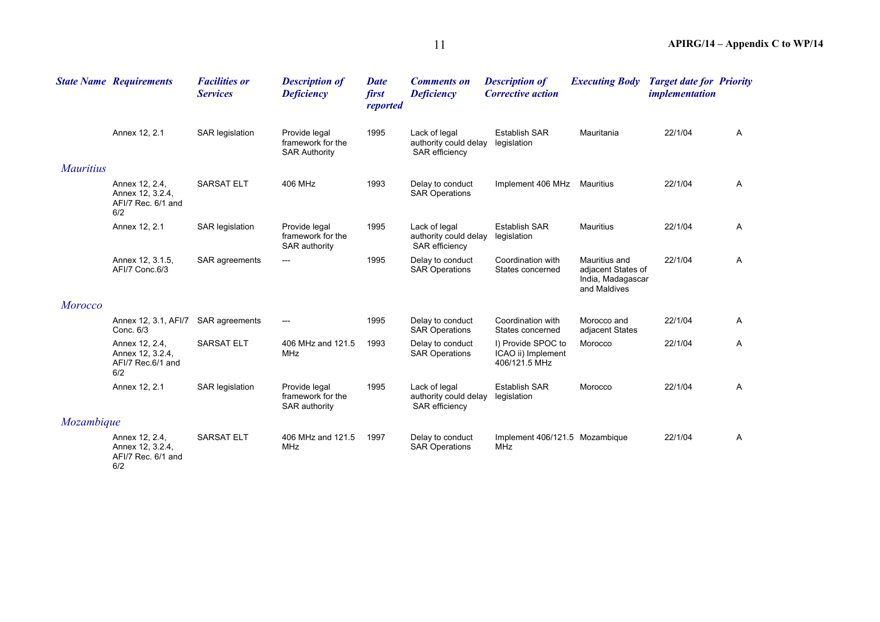|                  | <b>State Name Requirements</b>                                  | <b>Facilities or</b><br><b>Services</b> | <b>Description of</b><br><b>Deficiency</b>                 | <b>Date</b><br>first<br>reported | <b>Comments on</b><br><b>Deficiency</b>                         | <b>Description of</b><br><b>Corrective action</b>         | <b>Executing Body</b>                                                    | <b>Target date for Priority</b><br><i>implementation</i> |              |
|------------------|-----------------------------------------------------------------|-----------------------------------------|------------------------------------------------------------|----------------------------------|-----------------------------------------------------------------|-----------------------------------------------------------|--------------------------------------------------------------------------|----------------------------------------------------------|--------------|
|                  | Annex 12, 2.1                                                   | SAR legislation                         | Provide legal<br>framework for the<br><b>SAR Authority</b> | 1995                             | Lack of legal<br>authority could delay<br><b>SAR</b> efficiency | <b>Establish SAR</b><br>legislation                       | Mauritania                                                               | 22/1/04                                                  | $\mathsf{A}$ |
| <i>Mauritius</i> |                                                                 |                                         |                                                            |                                  |                                                                 |                                                           |                                                                          |                                                          |              |
|                  | Annex 12, 2.4,<br>Annex 12, 3.2.4,<br>AFI/7 Rec. 6/1 and<br>6/2 | <b>SARSAT ELT</b>                       | 406 MHz                                                    | 1993                             | Delay to conduct<br><b>SAR Operations</b>                       | Implement 406 MHz                                         | Mauritius                                                                | 22/1/04                                                  | A            |
|                  | Annex 12, 2.1                                                   | <b>SAR</b> legislation                  | Provide legal<br>framework for the<br><b>SAR authority</b> | 1995                             | Lack of legal<br>authority could delay<br>SAR efficiency        | <b>Establish SAR</b><br>legislation                       | Mauritius                                                                | 22/1/04                                                  | A            |
|                  | Annex 12, 3.1.5,<br>AFI/7 Conc.6/3                              | SAR agreements                          |                                                            | 1995                             | Delay to conduct<br><b>SAR Operations</b>                       | Coordination with<br>States concerned                     | Mauritius and<br>adjacent States of<br>India, Madagascar<br>and Maldives | 22/1/04                                                  | $\mathsf{A}$ |
| <b>Morocco</b>   |                                                                 |                                         |                                                            |                                  |                                                                 |                                                           |                                                                          |                                                          |              |
|                  | Annex 12, 3.1, AFI/7<br>Conc. 6/3                               | SAR agreements                          | $---$                                                      | 1995                             | Delay to conduct<br><b>SAR Operations</b>                       | Coordination with<br>States concerned                     | Morocco and<br>adjacent States                                           | 22/1/04                                                  | A            |
|                  | Annex 12, 2.4,<br>Annex 12, 3.2.4,<br>AFI/7 Rec.6/1 and<br>6/2  | <b>SARSAT ELT</b>                       | 406 MHz and 121.5<br><b>MHz</b>                            | 1993                             | Delay to conduct<br><b>SAR Operations</b>                       | I) Provide SPOC to<br>ICAO ii) Implement<br>406/121.5 MHz | Morocco                                                                  | 22/1/04                                                  | A            |
|                  | Annex 12, 2.1                                                   | <b>SAR</b> legislation                  | Provide legal<br>framework for the<br>SAR authority        | 1995                             | Lack of legal<br>authority could delay<br><b>SAR</b> efficiency | <b>Establish SAR</b><br>legislation                       | Morocco                                                                  | 22/1/04                                                  | A            |
| Mozambique       |                                                                 |                                         |                                                            |                                  |                                                                 |                                                           |                                                                          |                                                          |              |
|                  | Annex 12, 2.4,<br>Annex 12, 3.2.4,<br>AFI/7 Rec. 6/1 and<br>6/2 | <b>SARSAT ELT</b>                       | 406 MHz and 121.5<br>MHz                                   | 1997                             | Delay to conduct<br><b>SAR Operations</b>                       | Implement 406/121.5 Mozambique<br><b>MHz</b>              |                                                                          | 22/1/04                                                  | A            |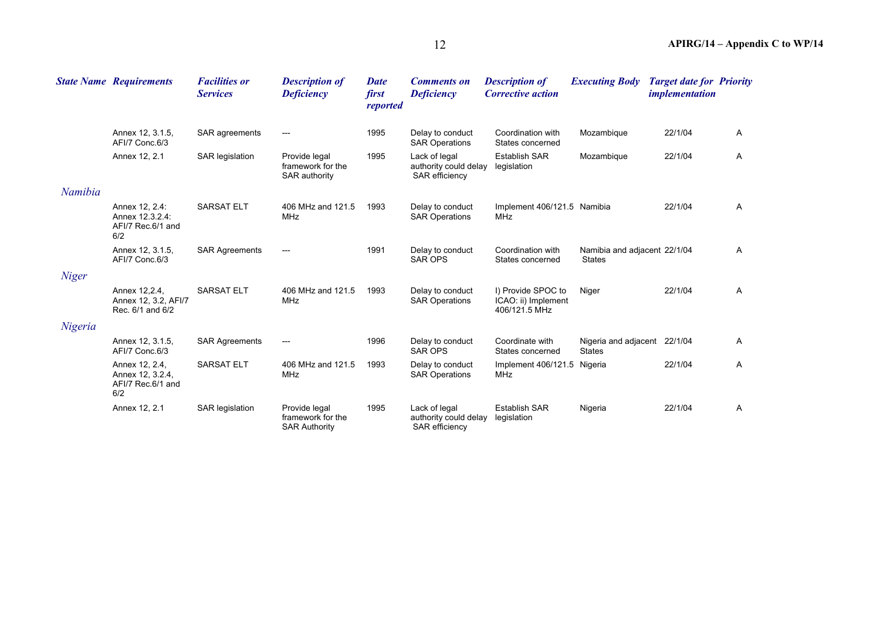|              | <b>State Name Requirements</b>                                 | <b>Facilities or</b><br><b>Services</b> | <b>Description of</b><br><b>Deficiency</b>                 | <b>Date</b><br>first<br>reported | <b>Comments on</b><br><b>Deficiency</b>                         | <b>Description of</b><br><b>Corrective action</b>          | <b>Executing Body</b>                         | <b>Target date for Priority</b><br><i>implementation</i> |              |
|--------------|----------------------------------------------------------------|-----------------------------------------|------------------------------------------------------------|----------------------------------|-----------------------------------------------------------------|------------------------------------------------------------|-----------------------------------------------|----------------------------------------------------------|--------------|
|              | Annex 12, 3.1.5.<br>AFI/7 Conc.6/3                             | SAR agreements                          | $---$                                                      | 1995                             | Delay to conduct<br><b>SAR Operations</b>                       | Coordination with<br>States concerned                      | Mozambique                                    | 22/1/04                                                  | $\mathsf{A}$ |
|              | Annex 12, 2.1                                                  | SAR legislation                         | Provide legal<br>framework for the<br><b>SAR authority</b> | 1995                             | Lack of legal<br>authority could delay<br><b>SAR</b> efficiency | <b>Establish SAR</b><br>legislation                        | Mozambique                                    | 22/1/04                                                  | $\mathsf{A}$ |
| Namibia      |                                                                |                                         |                                                            |                                  |                                                                 |                                                            |                                               |                                                          |              |
|              | Annex 12, 2.4:<br>Annex 12.3.2.4:<br>AFI/7 Rec.6/1 and<br>6/2  | <b>SARSAT ELT</b>                       | 406 MHz and 121.5<br><b>MHz</b>                            | 1993                             | Delay to conduct<br><b>SAR Operations</b>                       | Implement 406/121.5 Namibia<br><b>MHz</b>                  |                                               | 22/1/04                                                  | A            |
|              | Annex 12, 3.1.5,<br>AFI/7 Conc.6/3                             | <b>SAR Agreements</b>                   | $---$                                                      | 1991                             | Delay to conduct<br><b>SAR OPS</b>                              | Coordination with<br>States concerned                      | Namibia and adjacent 22/1/04<br><b>States</b> |                                                          | A            |
| <b>Niger</b> |                                                                |                                         |                                                            |                                  |                                                                 |                                                            |                                               |                                                          |              |
|              | Annex 12, 2.4,<br>Annex 12, 3.2, AFI/7<br>Rec. 6/1 and 6/2     | <b>SARSAT ELT</b>                       | 406 MHz and 121.5<br><b>MHz</b>                            | 1993                             | Delay to conduct<br><b>SAR Operations</b>                       | I) Provide SPOC to<br>ICAO: ii) Implement<br>406/121.5 MHz | Niger                                         | 22/1/04                                                  | $\mathsf{A}$ |
| Nigeria      |                                                                |                                         |                                                            |                                  |                                                                 |                                                            |                                               |                                                          |              |
|              | Annex 12, 3.1.5,<br>AFI/7 Conc.6/3                             | <b>SAR Agreements</b>                   | $---$                                                      | 1996                             | Delay to conduct<br><b>SAR OPS</b>                              | Coordinate with<br>States concerned                        | Nigeria and adjacent 22/1/04<br><b>States</b> |                                                          | $\mathsf{A}$ |
|              | Annex 12, 2.4,<br>Annex 12, 3.2.4,<br>AFI/7 Rec.6/1 and<br>6/2 | <b>SARSAT ELT</b>                       | 406 MHz and 121.5<br><b>MHz</b>                            | 1993                             | Delay to conduct<br><b>SAR Operations</b>                       | Implement 406/121.5<br>MHz                                 | Nigeria                                       | 22/1/04                                                  | $\mathsf{A}$ |
|              | Annex 12, 2.1                                                  | SAR legislation                         | Provide legal<br>framework for the<br><b>SAR Authority</b> | 1995                             | Lack of legal<br>authority could delay<br>SAR efficiency        | <b>Establish SAR</b><br>legislation                        | Nigeria                                       | 22/1/04                                                  | A            |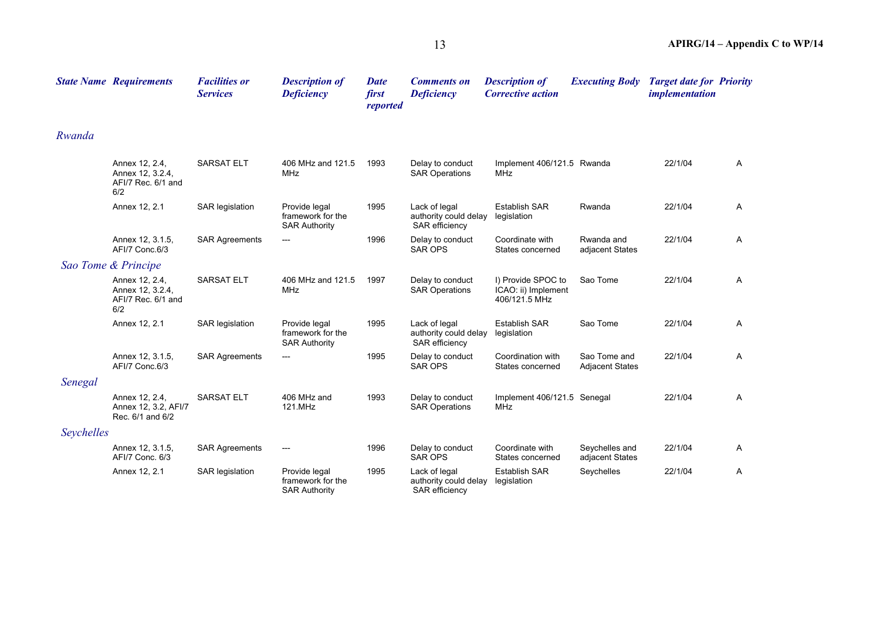|            | <b>State Name Requirements</b>                                  | <b>Facilities or</b><br><b>Services</b> | <b>Description of</b><br><b>Deficiency</b>                 | <b>Date</b><br>first<br>reported | <b>Comments on</b><br><b>Deficiency</b>                         | <b>Description of</b><br><b>Corrective action</b>          | <b>Executing Body</b>                  | <b>Target date for Priority</b><br><i>implementation</i> |   |
|------------|-----------------------------------------------------------------|-----------------------------------------|------------------------------------------------------------|----------------------------------|-----------------------------------------------------------------|------------------------------------------------------------|----------------------------------------|----------------------------------------------------------|---|
| Rwanda     |                                                                 |                                         |                                                            |                                  |                                                                 |                                                            |                                        |                                                          |   |
|            | Annex 12, 2.4,<br>Annex 12, 3.2.4,<br>AFI/7 Rec. 6/1 and<br>6/2 | <b>SARSAT ELT</b>                       | 406 MHz and 121.5<br><b>MHz</b>                            | 1993                             | Delay to conduct<br><b>SAR Operations</b>                       | Implement 406/121.5 Rwanda<br>MHz                          |                                        | 22/1/04                                                  | A |
|            | Annex 12, 2.1                                                   | SAR legislation                         | Provide legal<br>framework for the<br><b>SAR Authority</b> | 1995                             | Lack of legal<br>authority could delay<br><b>SAR</b> efficiency | <b>Establish SAR</b><br>legislation                        | Rwanda                                 | 22/1/04                                                  | A |
|            | Annex 12, 3.1.5,<br>AFI/7 Conc.6/3                              | <b>SAR Agreements</b>                   | ---                                                        | 1996                             | Delay to conduct<br><b>SAR OPS</b>                              | Coordinate with<br>States concerned                        | Rwanda and<br>adjacent States          | 22/1/04                                                  | A |
|            | Sao Tome & Principe                                             |                                         |                                                            |                                  |                                                                 |                                                            |                                        |                                                          |   |
|            | Annex 12, 2.4,<br>Annex 12, 3.2.4,<br>AFI/7 Rec. 6/1 and<br>6/2 | SARSAT ELT                              | 406 MHz and 121.5<br><b>MHz</b>                            | 1997                             | Delay to conduct<br><b>SAR Operations</b>                       | I) Provide SPOC to<br>ICAO: ii) Implement<br>406/121.5 MHz | Sao Tome                               | 22/1/04                                                  | A |
|            | Annex 12, 2.1                                                   | SAR legislation                         | Provide legal<br>framework for the<br><b>SAR Authority</b> | 1995                             | Lack of legal<br>authority could delay<br>SAR efficiency        | <b>Establish SAR</b><br>legislation                        | Sao Tome                               | 22/1/04                                                  | A |
|            | Annex 12, 3.1.5,<br>AFI/7 Conc.6/3                              | <b>SAR Agreements</b>                   | ---                                                        | 1995                             | Delay to conduct<br><b>SAR OPS</b>                              | Coordination with<br>States concerned                      | Sao Tome and<br><b>Adjacent States</b> | 22/1/04                                                  | A |
| Senegal    |                                                                 |                                         |                                                            |                                  |                                                                 |                                                            |                                        |                                                          |   |
|            | Annex 12, 2.4,<br>Annex 12, 3.2, AFI/7<br>Rec. 6/1 and 6/2      | <b>SARSAT ELT</b>                       | 406 MHz and<br>121.MHz                                     | 1993                             | Delay to conduct<br><b>SAR Operations</b>                       | Implement 406/121.5 Senegal<br><b>MHz</b>                  |                                        | 22/1/04                                                  | A |
| Seychelles |                                                                 |                                         |                                                            |                                  |                                                                 |                                                            |                                        |                                                          |   |
|            | Annex 12, 3.1.5,<br>AFI/7 Conc. 6/3                             | <b>SAR Agreements</b>                   | $---$                                                      | 1996                             | Delay to conduct<br><b>SAR OPS</b>                              | Coordinate with<br>States concerned                        | Seychelles and<br>adjacent States      | 22/1/04                                                  | A |
|            | Annex 12, 2.1                                                   | SAR legislation                         | Provide legal<br>framework for the<br><b>SAR Authority</b> | 1995                             | Lack of legal<br>authority could delay<br><b>SAR</b> efficiency | <b>Establish SAR</b><br>legislation                        | Seychelles                             | 22/1/04                                                  | A |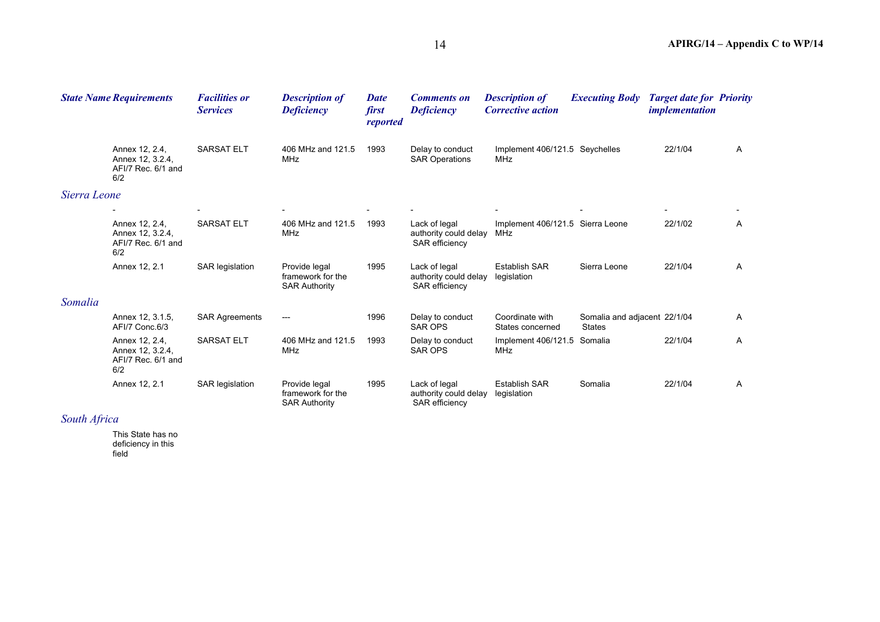|              | <b>State Name Requirements</b>                                  | <b>Facilities or</b><br><b>Services</b> | <b>Description of</b><br><b>Deficiency</b>                 | <b>Date</b><br>first<br>reported | <b>Comments on</b><br><b>Deficiency</b>                         | <b>Description of</b><br><b>Corrective action</b> | <b>Executing Body</b>                         | <b>Target date for Priority</b><br><i>implementation</i> |              |
|--------------|-----------------------------------------------------------------|-----------------------------------------|------------------------------------------------------------|----------------------------------|-----------------------------------------------------------------|---------------------------------------------------|-----------------------------------------------|----------------------------------------------------------|--------------|
|              | Annex 12, 2.4,<br>Annex 12, 3.2.4,<br>AFI/7 Rec. 6/1 and<br>6/2 | <b>SARSAT ELT</b>                       | 406 MHz and 121.5<br>MHz                                   | 1993                             | Delay to conduct<br><b>SAR Operations</b>                       | Implement 406/121.5 Seychelles<br>MHz             |                                               | 22/1/04                                                  | $\mathsf{A}$ |
| Sierra Leone |                                                                 |                                         |                                                            |                                  |                                                                 |                                                   |                                               |                                                          |              |
|              |                                                                 |                                         |                                                            |                                  |                                                                 |                                                   |                                               |                                                          |              |
|              | Annex 12, 2.4,<br>Annex 12, 3.2.4,<br>AFI/7 Rec. 6/1 and<br>6/2 | <b>SARSAT ELT</b>                       | 406 MHz and 121.5<br><b>MHz</b>                            | 1993                             | Lack of legal<br>authority could delay<br><b>SAR efficiency</b> | Implement 406/121.5 Sierra Leone<br>MHz           |                                               | 22/1/02                                                  | A            |
|              | Annex 12, 2.1                                                   | SAR legislation                         | Provide legal<br>framework for the<br><b>SAR Authority</b> | 1995                             | Lack of legal<br>authority could delay<br><b>SAR</b> efficiency | <b>Establish SAR</b><br>legislation               | Sierra Leone                                  | 22/1/04                                                  | A            |
| Somalia      |                                                                 |                                         |                                                            |                                  |                                                                 |                                                   |                                               |                                                          |              |
|              | Annex 12, 3.1.5,<br>AFI/7 Conc.6/3                              | <b>SAR Agreements</b>                   |                                                            | 1996                             | Delay to conduct<br><b>SAR OPS</b>                              | Coordinate with<br>States concerned               | Somalia and adjacent 22/1/04<br><b>States</b> |                                                          | $\mathsf{A}$ |
|              | Annex 12, 2.4,<br>Annex 12, 3.2.4,<br>AFI/7 Rec. 6/1 and<br>6/2 | <b>SARSAT ELT</b>                       | 406 MHz and 121.5<br><b>MHz</b>                            | 1993                             | Delay to conduct<br><b>SAR OPS</b>                              | Implement 406/121.5<br><b>MHz</b>                 | Somalia                                       | 22/1/04                                                  | $\mathsf{A}$ |
|              | Annex 12, 2.1                                                   | SAR legislation                         | Provide legal<br>framework for the<br><b>SAR Authority</b> | 1995                             | Lack of legal<br>authority could delay<br><b>SAR efficiency</b> | <b>Establish SAR</b><br>legislation               | Somalia                                       | 22/1/04                                                  | $\mathsf{A}$ |

## *South Africa*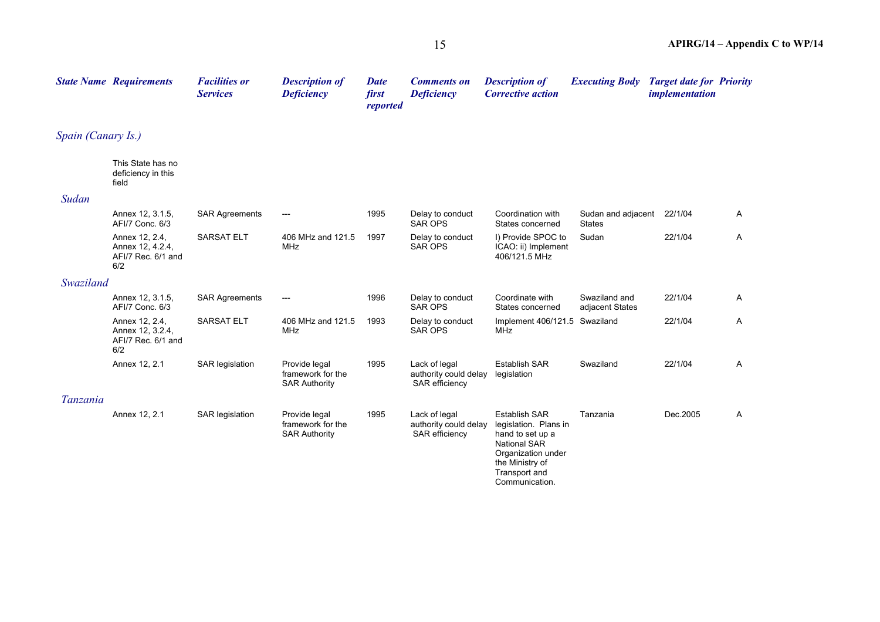|                    | <b>State Name Requirements</b>                                  | <b>Facilities or</b><br><b>Services</b> | <b>Description of</b><br><b>Deficiency</b>                 | <b>Date</b><br>first<br>reported | <b>Comments on</b><br><b>Deficiency</b>                         | <b>Description of</b><br><b>Corrective action</b>                                                                                                                    | <b>Executing Body</b>               | <b>Target date for Priority</b><br><i>implementation</i> |   |
|--------------------|-----------------------------------------------------------------|-----------------------------------------|------------------------------------------------------------|----------------------------------|-----------------------------------------------------------------|----------------------------------------------------------------------------------------------------------------------------------------------------------------------|-------------------------------------|----------------------------------------------------------|---|
| Spain (Canary Is.) |                                                                 |                                         |                                                            |                                  |                                                                 |                                                                                                                                                                      |                                     |                                                          |   |
|                    | This State has no<br>deficiency in this<br>field                |                                         |                                                            |                                  |                                                                 |                                                                                                                                                                      |                                     |                                                          |   |
| Sudan              |                                                                 |                                         |                                                            |                                  |                                                                 |                                                                                                                                                                      |                                     |                                                          |   |
|                    | Annex 12, 3.1.5,<br>AFI/7 Conc. 6/3                             | <b>SAR Agreements</b>                   | ---                                                        | 1995                             | Delay to conduct<br><b>SAR OPS</b>                              | Coordination with<br>States concerned                                                                                                                                | Sudan and adjacent<br><b>States</b> | 22/1/04                                                  | A |
|                    | Annex 12, 2.4,<br>Annex 12, 4.2.4,<br>AFI/7 Rec. 6/1 and<br>6/2 | <b>SARSAT ELT</b>                       | 406 MHz and 121.5<br><b>MHz</b>                            | 1997                             | Delay to conduct<br><b>SAR OPS</b>                              | I) Provide SPOC to<br>ICAO: ii) Implement<br>406/121.5 MHz                                                                                                           | Sudan                               | 22/1/04                                                  | A |
| Swaziland          |                                                                 |                                         |                                                            |                                  |                                                                 |                                                                                                                                                                      |                                     |                                                          |   |
|                    | Annex 12, 3.1.5,<br>AFI/7 Conc. 6/3                             | <b>SAR Agreements</b>                   | $---$                                                      | 1996                             | Delay to conduct<br><b>SAR OPS</b>                              | Coordinate with<br>States concerned                                                                                                                                  | Swaziland and<br>adjacent States    | 22/1/04                                                  | A |
|                    | Annex 12, 2.4,<br>Annex 12, 3.2.4,<br>AFI/7 Rec. 6/1 and<br>6/2 | SARSAT ELT                              | 406 MHz and 121.5<br>MHz                                   | 1993                             | Delay to conduct<br><b>SAR OPS</b>                              | Implement 406/121.5 Swaziland<br>MHz                                                                                                                                 |                                     | 22/1/04                                                  | A |
|                    | Annex 12, 2.1                                                   | SAR legislation                         | Provide legal<br>framework for the<br><b>SAR Authority</b> | 1995                             | Lack of legal<br>authority could delay<br>SAR efficiency        | <b>Establish SAR</b><br>legislation                                                                                                                                  | Swaziland                           | 22/1/04                                                  | A |
| Tanzania           |                                                                 |                                         |                                                            |                                  |                                                                 |                                                                                                                                                                      |                                     |                                                          |   |
|                    | Annex 12, 2.1                                                   | SAR legislation                         | Provide legal<br>framework for the<br><b>SAR Authority</b> | 1995                             | Lack of legal<br>authority could delay<br><b>SAR</b> efficiency | <b>Establish SAR</b><br>legislation. Plans in<br>hand to set up a<br><b>National SAR</b><br>Organization under<br>the Ministry of<br>Transport and<br>Communication. | Tanzania                            | Dec.2005                                                 | Α |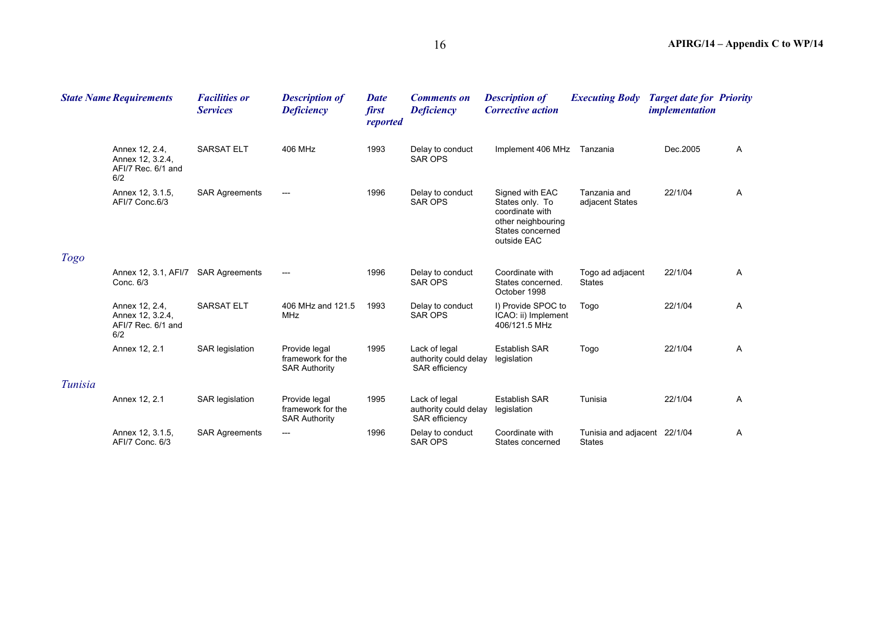| <b>State Name Requirements</b> |                                                                 | <b>Facilities or</b><br><b>Services</b> | <b>Description of</b><br><b>Deficiency</b>                 | <b>Date</b><br>first<br>reported | <b>Comments on</b><br><b>Deficiency</b>                         | <b>Description of</b><br><b>Corrective action</b>                                                              | <b>Executing Body</b>                         | <b>Target date for Priority</b><br><i>implementation</i> |              |
|--------------------------------|-----------------------------------------------------------------|-----------------------------------------|------------------------------------------------------------|----------------------------------|-----------------------------------------------------------------|----------------------------------------------------------------------------------------------------------------|-----------------------------------------------|----------------------------------------------------------|--------------|
|                                | Annex 12, 2.4,<br>Annex 12, 3.2.4,<br>AFI/7 Rec. 6/1 and<br>6/2 | <b>SARSAT ELT</b>                       | 406 MHz                                                    | 1993                             | Delay to conduct<br><b>SAR OPS</b>                              | Implement 406 MHz                                                                                              | Tanzania                                      | Dec.2005                                                 | $\mathsf{A}$ |
|                                | Annex 12, 3.1.5,<br>AFI/7 Conc.6/3                              | <b>SAR Agreements</b>                   | $---$                                                      | 1996                             | Delay to conduct<br><b>SAR OPS</b>                              | Signed with EAC<br>States only. To<br>coordinate with<br>other neighbouring<br>States concerned<br>outside EAC | Tanzania and<br>adjacent States               | 22/1/04                                                  | $\mathsf{A}$ |
| <b>Togo</b>                    |                                                                 |                                         |                                                            |                                  |                                                                 |                                                                                                                |                                               |                                                          |              |
|                                | Annex 12, 3.1, AFI/7<br>Conc. 6/3                               | <b>SAR Agreements</b>                   | $\hspace{0.05cm}---\hspace{0.05cm}$                        | 1996                             | Delay to conduct<br><b>SAR OPS</b>                              | Coordinate with<br>States concerned.<br>October 1998                                                           | Togo ad adjacent<br><b>States</b>             | 22/1/04                                                  | $\mathsf{A}$ |
|                                | Annex 12, 2.4,<br>Annex 12, 3.2.4,<br>AFI/7 Rec. 6/1 and<br>6/2 | <b>SARSAT ELT</b>                       | 406 MHz and 121.5<br>MHz                                   | 1993                             | Delay to conduct<br><b>SAR OPS</b>                              | I) Provide SPOC to<br>ICAO: ii) Implement<br>406/121.5 MHz                                                     | Togo                                          | 22/1/04                                                  | $\mathsf{A}$ |
|                                | Annex 12, 2.1                                                   | <b>SAR</b> legislation                  | Provide legal<br>framework for the<br><b>SAR Authority</b> | 1995                             | Lack of legal<br>authority could delay<br><b>SAR</b> efficiency | <b>Establish SAR</b><br>legislation                                                                            | Togo                                          | 22/1/04                                                  | $\mathsf{A}$ |
| Tunisia                        |                                                                 |                                         |                                                            |                                  |                                                                 |                                                                                                                |                                               |                                                          |              |
|                                | Annex 12, 2.1                                                   | <b>SAR</b> legislation                  | Provide legal<br>framework for the<br><b>SAR Authority</b> | 1995                             | Lack of legal<br>authority could delay<br>SAR efficiency        | <b>Establish SAR</b><br>legislation                                                                            | Tunisia                                       | 22/1/04                                                  | A            |
|                                | Annex 12, 3.1.5,<br>AFI/7 Conc. 6/3                             | <b>SAR Agreements</b>                   | ---                                                        | 1996                             | Delay to conduct<br><b>SAR OPS</b>                              | Coordinate with<br>States concerned                                                                            | Tunisia and adjacent 22/1/04<br><b>States</b> |                                                          | $\mathsf{A}$ |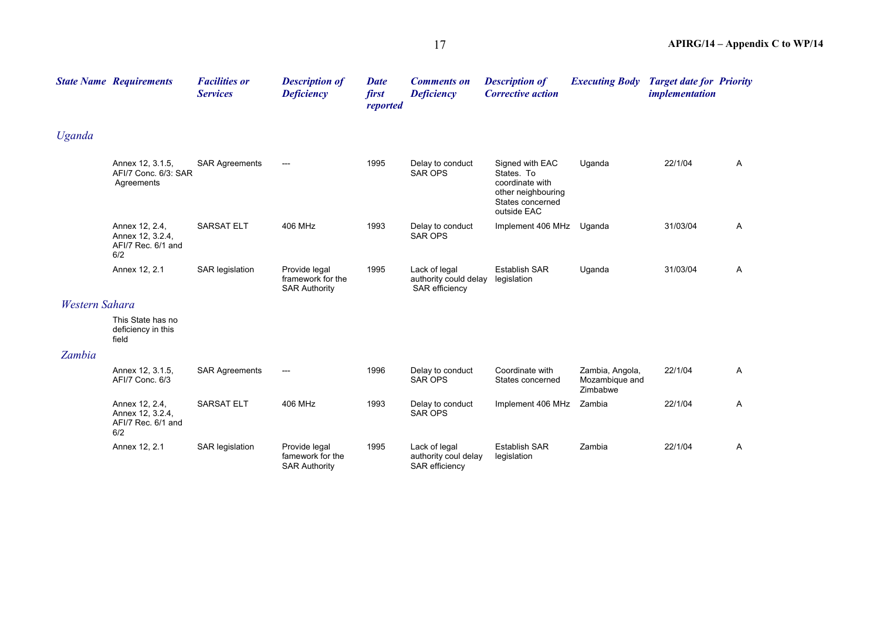|                | <b>State Name Requirements</b>                                  | <b>Facilities or</b><br><b>Services</b> | <b>Description of</b><br><b>Deficiency</b>                 | <b>Date</b><br>first<br>reported | <b>Comments on</b><br><b>Deficiency</b>                  | <b>Description of</b><br><b>Corrective action</b>                                                         | <b>Executing Body</b>                         | <b>Target date for Priority</b><br><i>implementation</i> |   |
|----------------|-----------------------------------------------------------------|-----------------------------------------|------------------------------------------------------------|----------------------------------|----------------------------------------------------------|-----------------------------------------------------------------------------------------------------------|-----------------------------------------------|----------------------------------------------------------|---|
| Uganda         |                                                                 |                                         |                                                            |                                  |                                                          |                                                                                                           |                                               |                                                          |   |
|                | Annex 12, 3.1.5,<br>AFI/7 Conc. 6/3: SAR<br>Agreements          | <b>SAR Agreements</b>                   | $---$                                                      | 1995                             | Delay to conduct<br><b>SAR OPS</b>                       | Signed with EAC<br>States. To<br>coordinate with<br>other neighbouring<br>States concerned<br>outside EAC | Uganda                                        | 22/1/04                                                  | A |
|                | Annex 12, 2.4,<br>Annex 12, 3.2.4,<br>AFI/7 Rec. 6/1 and<br>6/2 | <b>SARSAT ELT</b>                       | 406 MHz                                                    | 1993                             | Delay to conduct<br><b>SAR OPS</b>                       | Implement 406 MHz                                                                                         | Uganda                                        | 31/03/04                                                 | A |
|                | Annex 12, 2.1                                                   | <b>SAR legislation</b>                  | Provide legal<br>framework for the<br><b>SAR Authority</b> | 1995                             | Lack of legal<br>authority could delay<br>SAR efficiency | <b>Establish SAR</b><br>legislation                                                                       | Uganda                                        | 31/03/04                                                 | A |
| Western Sahara |                                                                 |                                         |                                                            |                                  |                                                          |                                                                                                           |                                               |                                                          |   |
|                | This State has no<br>deficiency in this<br>field                |                                         |                                                            |                                  |                                                          |                                                                                                           |                                               |                                                          |   |
| Zambia         |                                                                 |                                         |                                                            |                                  |                                                          |                                                                                                           |                                               |                                                          |   |
|                | Annex 12, 3.1.5,<br>AFI/7 Conc. 6/3                             | <b>SAR Agreements</b>                   | ---                                                        | 1996                             | Delay to conduct<br><b>SAR OPS</b>                       | Coordinate with<br>States concerned                                                                       | Zambia, Angola,<br>Mozambique and<br>Zimbabwe | 22/1/04                                                  | A |
|                | Annex 12, 2.4,<br>Annex 12, 3.2.4,<br>AFI/7 Rec. 6/1 and<br>6/2 | <b>SARSAT ELT</b>                       | 406 MHz                                                    | 1993                             | Delay to conduct<br><b>SAR OPS</b>                       | Implement 406 MHz                                                                                         | Zambia                                        | 22/1/04                                                  | A |
|                | Annex 12, 2.1                                                   | SAR legislation                         | Provide legal<br>famework for the<br><b>SAR Authority</b>  | 1995                             | Lack of legal<br>authority coul delay<br>SAR efficiency  | <b>Establish SAR</b><br>legislation                                                                       | Zambia                                        | 22/1/04                                                  | A |